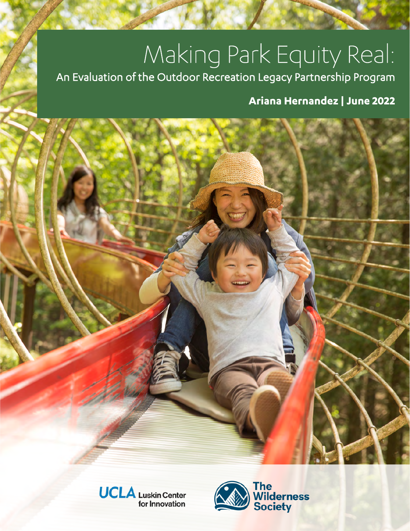# Making Park Equity Real:

An Evaluation of the Outdoor Recreation Legacy Partnership Program

#### **Ariana Hernandez | June 2022**



**UCLA** Luskin Center for Innovation

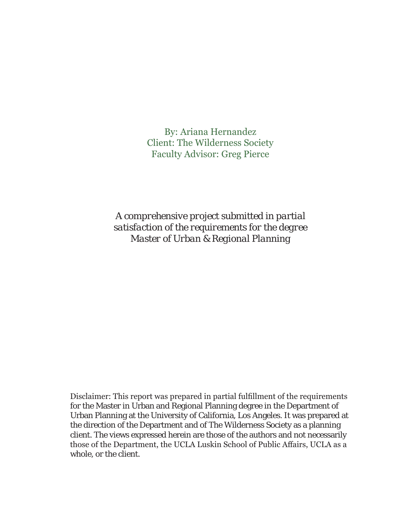By: Ariana Hernandez Client: The Wilderness Society Faculty Advisor: Greg Pierce

*A comprehensive project submitted in partial satisfaction of the requirements for the degree Master of Urban & Regional Planning*

Disclaimer: This report was prepared in partial fulfillment of the requirements for the Master in Urban and Regional Planning degree in the Department of Urban Planning at the University of California, Los Angeles. It was prepared at the direction of the Department and of The Wilderness Society as a planning client. The views expressed herein are those of the authors and not necessarily those of the Department, the UCLA Luskin School of Public Affairs, UCLA as a whole, or the client.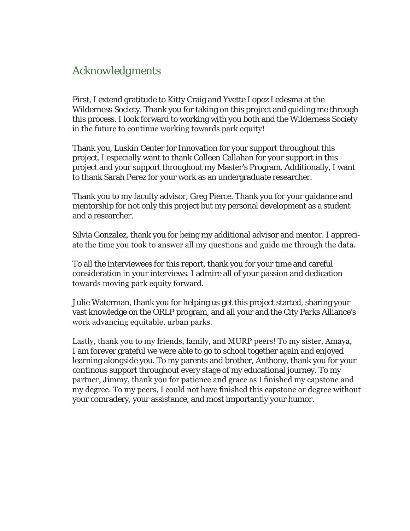#### *Acknowledgments*

First, I extend gratitude to Kitty Craig and Yvette Lopez Ledesma at the Wilderness Society. Thank you for taking on this project and guiding me through this process. I look forward to working with you both and the Wilderness Society in the future to continue working towards park equity!

Thank you, Luskin Center for Innovation for your support throughout this project. I especially want to thank Colleen Callahan for your support in this project and your support throughout my Master's Program. Additionally, I want to thank Sarah Perez for your work as an undergraduate researcher.

Thank you to my faculty advisor, Greg Pierce. Thank you for your guidance and mentorship for not only this project but my personal development as a student and a researcher.

Silvia Gonzalez, thank you for being my additional advisor and mentor. I appreciate the time you took to answer all my questions and guide me through the data.

To all the interviewees for this report, thank you for your time and careful consideration in your interviews. I admire all of your passion and dedication towards moving park equity forward.

Julie Waterman, thank you for helping us get this project started, sharing your vast knowledge on the ORLP program, and all your and the City Parks Alliance's work advancing equitable, urban parks.

Lastly, thank you to my friends, family, and MURP peers! To my sister, Amaya, I am forever grateful we were able to go to school together again and enjoyed learning alongside you. To my parents and brother, Anthony, thank you for your continous support throughout every stage of my educational journey. To my partner, Jimmy, thank you for patience and grace as I finished my capstone and my degree. To my peers, I could not have finished this capstone or degree without your comradery, your assistance, and most importantly your humor.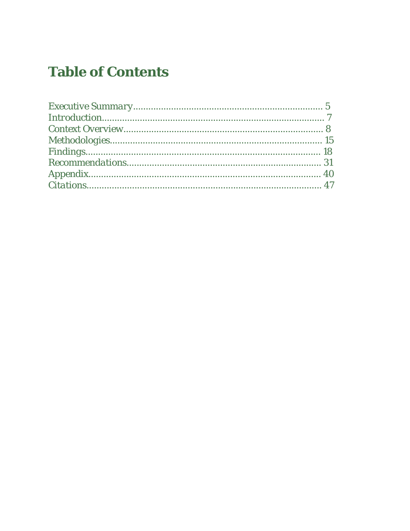### **Table of Contents**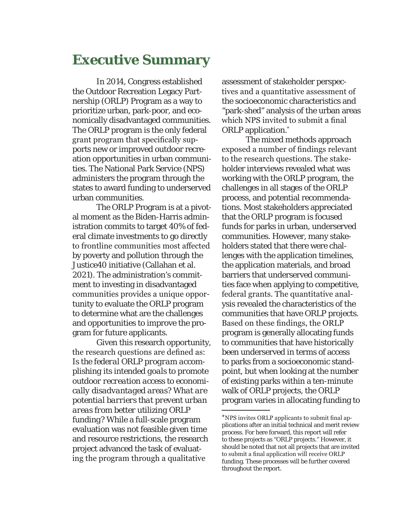### **Executive Summary**

In 2014, Congress established the Outdoor Recreation Legacy Partnership (ORLP) Program as a way to prioritize urban, park-poor, and economically disadvantaged communities. The ORLP program is the only federal grant program that specifically supports new or improved outdoor recreation opportunities in urban communities. The National Park Service (NPS) administers the program through the states to award funding to underserved urban communities.

The ORLP Program is at a pivotal moment as the Biden-Harris administration commits to target 40% of federal climate investments to go directly to frontline communities most affected by poverty and pollution through the Justice40 initiative (Callahan et al. 2021). The administration's commitment to investing in disadvantaged communities provides a unique opportunity to evaluate the ORLP program to determine what are the challenges and opportunities to improve the program for future applicants.

Given this research opportunity, the research questions are defined as: *Is the federal ORLP program accomplishing its intended goals to promote outdoor recreation access to economically disadvantaged areas? What are potential barriers that prevent urban areas from better utilizing ORLP funding?* While a full-scale program evaluation was not feasible given time and resource restrictions, the research project advanced the task of evaluating the program through a qualitative

assessment of stakeholder perspectives and a quantitative assessment of the socioeconomic characteristics and "park-shed" analysis of the urban areas which NPS invited to submit a final ORLP application.\*

The mixed methods approach exposed a number of findings relevant to the research questions. The stakeholder interviews revealed what was working with the ORLP program, the challenges in all stages of the ORLP process, and potential recommendations. Most stakeholders appreciated that the ORLP program is focused funds for parks in urban, underserved communities. However, many stakeholders stated that there were challenges with the application timelines, the application materials, and broad barriers that underserved communities face when applying to competitive, federal grants. The quantitative analysis revealed the characteristics of the communities that have ORLP projects. Based on these findings, the ORLP program is generally allocating funds to communities that have historically been underserved in terms of access to parks from a socioeconomic standpoint, but when looking at the number of existing parks within a ten-minute walk of ORLP projects, the ORLP program varies in allocating funding to

<sup>\*</sup>NPS invites ORLP applicants to submit final applications after an initial technical and merit review process. For here forward, this report will refer to these projects as "ORLP projects." However, it should be noted that not all projects that are invited to submit a final application will receive ORLP funding. These processes will be further covered throughout the report.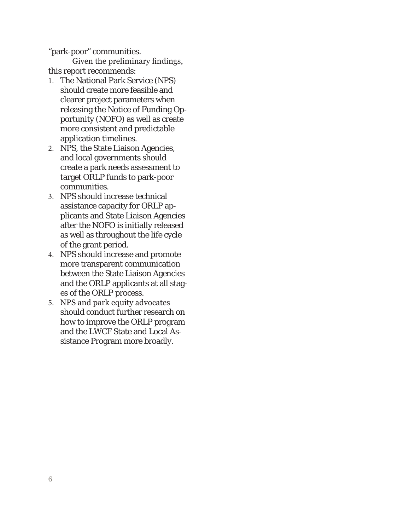"park-poor" communities.

Given the preliminary findings, this report recommends:

- 1. The National Park Service (NPS) should create more feasible and clearer project parameters when releasing the Notice of Funding Opportunity (NOFO) as well as create more consistent and predictable application timelines.
- 2. NPS, the State Liaison Agencies, and local governments should create a park needs assessment to target ORLP funds to park-poor communities.
- 3. NPS should increase technical assistance capacity for ORLP applicants and State Liaison Agencies after the NOFO is initially released as well as throughout the life cycle of the grant period.
- 4. NPS should increase and promote more transparent communication between the State Liaison Agencies and the ORLP applicants at all stages of the ORLP process.
- 5. NPS and park equity advocates should conduct further research on how to improve the ORLP program and the LWCF State and Local Assistance Program more broadly.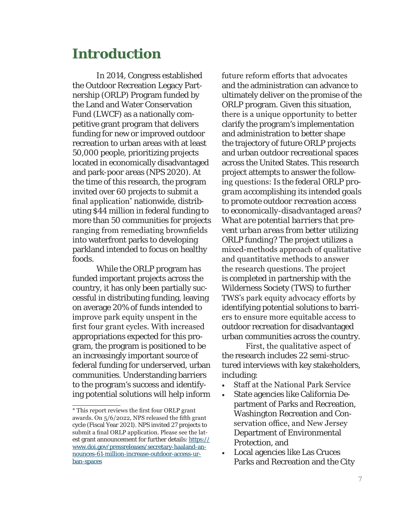### **Introduction**

In 2014, Congress established the Outdoor Recreation Legacy Partnership (ORLP) Program funded by the Land and Water Conservation Fund (LWCF) as a nationally competitive grant program that delivers funding for new or improved outdoor recreation to urban areas with at least 50,000 people, prioritizing projects located in economically disadvantaged and park-poor areas (NPS 2020). At the time of this research, the program invited over 60 projects to submit a final application\* nationwide, distributing \$44 million in federal funding to more than 50 communities for projects ranging from remediating brownfields into waterfront parks to developing parkland intended to focus on healthy foods.

While the ORLP program has funded important projects across the country, it has only been partially successful in distributing funding, leaving on average 20% of funds intended to improve park equity unspent in the first four grant cycles. With increased appropriations expected for this program, the program is positioned to be an increasingly important source of federal funding for underserved, urban communities. Understanding barriers to the program's success and identifying potential solutions will help inform future reform efforts that advocates and the administration can advance to ultimately deliver on the promise of the ORLP program. Given this situation, there is a unique opportunity to better clarify the program's implementation and administration to better shape the trajectory of future ORLP projects and urban outdoor recreational spaces across the United States. This research project attempts to answer the following questions: *Is the federal ORLP program accomplishing its intended goals to promote outdoor recreation access to economically-disadvantaged areas? What are potential barriers that prevent urban areas from better utilizing ORLP funding?* The project utilizes a mixed-methods approach of qualitative and quantitative methods to answer the research questions. The project is completed in partnership with the Wilderness Society (TWS) to further TWS's park equity advocacy efforts by identifying potential solutions to barriers to ensure more equitable access to outdoor recreation for disadvantaged urban communities across the country.

First, the qualitative aspect of the research includes 22 semi-structured interviews with key stakeholders, including:

- Staff at the National Park Service
- State agencies like California Department of Parks and Recreation, Washington Recreation and Conservation office, and New Jersey Department of Environmental Protection, and
- Local agencies like Las Cruces Parks and Recreation and the City

<sup>\*</sup> This report reviews the first four ORLP grant awards. On 5/6/2022, NPS released the fifth grant cycle (Fiscal Year 2021). NPS invited 27 projects to submit a final ORLP application. Please see the latest grant announcement for further details: https:// www.doi.gov/pressreleases/secretary-haaland-announces-61-million-increase-outdoor-access-urban-spaces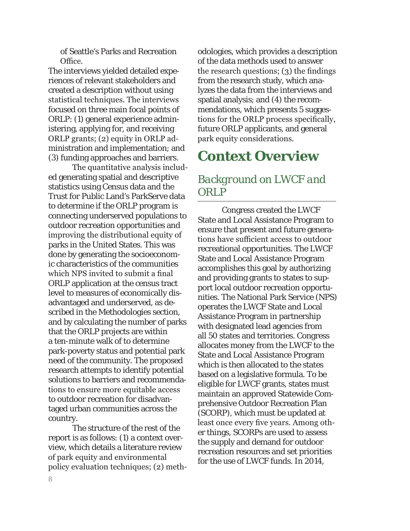of Seattle's Parks and Recreation Office.

The interviews yielded detailed experiences of relevant stakeholders and created a description without using statistical techniques. The interviews focused on three main focal points of ORLP: (1) general experience administering, applying for, and receiving ORLP grants; (2) equity in ORLP administration and implementation; and (3) funding approaches and barriers.

The quantitative analysis included generating spatial and descriptive statistics using Census data and the Trust for Public Land's ParkServe data to determine if the ORLP program is connecting underserved populations to outdoor recreation opportunities and improving the distributional equity of parks in the United States. This was done by generating the socioeconomic characteristics of the communities which NPS invited to submit a final ORLP application at the census tract level to measures of economically disadvantaged and underserved, as described in the Methodologies section, and by calculating the number of parks that the ORLP projects are within a ten-minute walk of to determine park-poverty status and potential park need of the community. The proposed research attempts to identify potential solutions to barriers and recommendations to ensure more equitable access to outdoor recreation for disadvantaged urban communities across the country.

The structure of the rest of the report is as follows: (1) a context overview, which details a literature review of park equity and environmental policy evaluation techniques; (2) methodologies, which provides a description of the data methods used to answer the research questions; (3) the findings from the research study, which analyzes the data from the interviews and spatial analysis; and (4) the recommendations, which presents 5 suggestions for the ORLP process specifically, future ORLP applicants, and general park equity considerations.

### **Context Overview**

#### *Background on LWCF and ORLP*

Congress created the LWCF State and Local Assistance Program to ensure that present and future generations have sufficient access to outdoor recreational opportunities. The LWCF State and Local Assistance Program accomplishes this goal by authorizing and providing grants to states to support local outdoor recreation opportunities. The National Park Service (NPS) operates the LWCF State and Local Assistance Program in partnership with designated lead agencies from all 50 states and territories. Congress allocates money from the LWCF to the State and Local Assistance Program which is then allocated to the states based on a legislative formula. To be eligible for LWCF grants, states must maintain an approved Statewide Comprehensive Outdoor Recreation Plan (SCORP), which must be updated at least once every five years. Among other things, SCORPs are used to assess the supply and demand for outdoor recreation resources and set priorities for the use of LWCF funds. In 2014,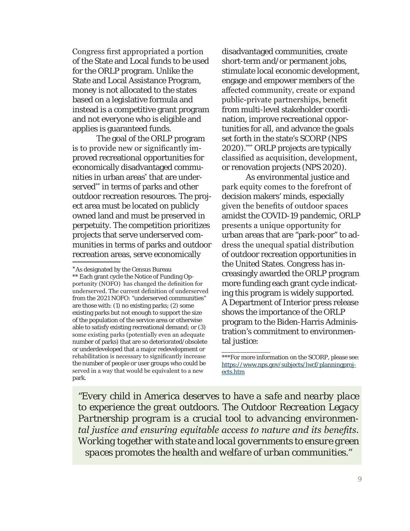Congress first appropriated a portion of the State and Local funds to be used for the ORLP program. Unlike the State and Local Assistance Program, money is not allocated to the states based on a legislative formula and instead is a competitive grant program and not everyone who is eligible and applies is guaranteed funds.

The goal of the ORLP program is to provide new or significantly improved recreational opportunities for economically disadvantaged communities in urban areas\* that are underserved\*\* in terms of parks and other outdoor recreation resources. The project area must be located on publicly owned land and must be preserved in perpetuity. The competition prioritizes projects that serve underserved communities in terms of parks and outdoor recreation areas, serve economically

disadvantaged communities, create short-term and/or permanent jobs, stimulate local economic development, engage and empower members of the affected community, create or expand public-private partnerships, benefit from multi-level stakeholder coordination, improve recreational opportunities for all, and advance the goals set forth in the state's SCORP (NPS 2020).\*\*\* ORLP projects are typically classified as acquisition, development, or renovation projects (NPS 2020).

As environmental justice and park equity comes to the forefront of decision makers' minds, especially given the benefits of outdoor spaces amidst the COVID-19 pandemic, ORLP presents a unique opportunity for urban areas that are "park-poor" to address the unequal spatial distribution of outdoor recreation opportunities in the United States. Congress has increasingly awarded the ORLP program more funding each grant cycle indicating this program is widely supported. A Department of Interior press release shows the importance of the ORLP program to the Biden-Harris Administration's commitment to environmental justice:

*"Every child in America deserves to have a safe and nearby place to experience the great outdoors. The Outdoor Recreation Legacy Partnership program is a crucial tool to advancing environmental justice and ensuring equitable access to nature and its benefits. Working together with state and local governments to ensure green spaces promotes the health and welfare of urban communities."*

<sup>\*</sup>As designated by the Census Bureau \*\* Each grant cycle the Notice of Funding Opportunity (NOFO) has changed the definition for underserved. The current definition of underserved from the 2021 NOFO: "underserved communities" are those with: (1) no existing parks; (2) some existing parks but not enough to support the size of the population of the service area or otherwise able to satisfy existing recreational demand; or (3) some existing parks (potentially even an adequate number of parks) that are so deteriorated/obsolete or underdeveloped that a major redevelopment or rehabilitation is necessary to significantly increase the number of people or user groups who could be served in a way that would be equivalent to a new park.

<sup>\*\*\*</sup>For more information on the SCORP, please see: https://www.nps.gov/subjects/lwcf/planningprojects.htm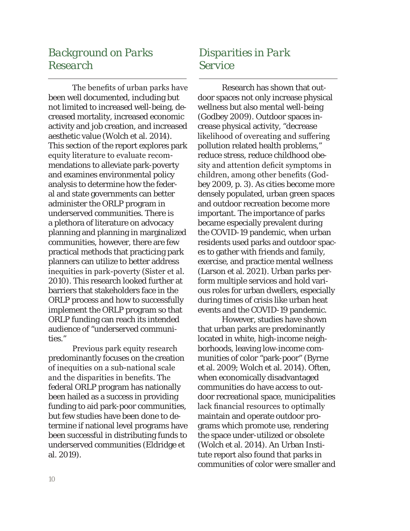#### *Background on Parks Research*

The benefits of urban parks have been well documented, including but not limited to increased well-being, decreased mortality, increased economic activity and job creation, and increased aesthetic value (Wolch et al. 2014). This section of the report explores park equity literature to evaluate recommendations to alleviate park-poverty and examines environmental policy analysis to determine how the federal and state governments can better administer the ORLP program in underserved communities. There is a plethora of literature on advocacy planning and planning in marginalized communities, however, there are few practical methods that practicing park planners can utilize to better address inequities in park-poverty (Sister et al. 2010). This research looked further at barriers that stakeholders face in the ORLP process and how to successfully implement the ORLP program so that ORLP funding can reach its intended audience of "underserved communities."

Previous park equity research predominantly focuses on the creation of inequities on a sub-national scale and the disparities in benefits. The federal ORLP program has nationally been hailed as a success in providing funding to aid park-poor communities, but few studies have been done to determine if national level programs have been successful in distributing funds to underserved communities (Eldridge et al. 2019).

#### *Disparities in Park Service*

Research has shown that outdoor spaces not only increase physical wellness but also mental well-being (Godbey 2009). Outdoor spaces increase physical activity, "decrease likelihood of overeating and suffering pollution related health problems," reduce stress, reduce childhood obesity and attention deficit symptoms in children, among other benefits (Godbey 2009, p. 3). As cities become more densely populated, urban green spaces and outdoor recreation become more important. The importance of parks became especially prevalent during the COVID-19 pandemic, when urban residents used parks and outdoor spaces to gather with friends and family, exercise, and practice mental wellness (Larson et al. 2021). Urban parks perform multiple services and hold various roles for urban dwellers, especially during times of crisis like urban heat events and the COVID-19 pandemic.

However, studies have shown that urban parks are predominantly located in white, high-income neighborhoods, leaving low-income communities of color "park-poor" (Byrne et al. 2009; Wolch et al. 2014). Often, when economically disadvantaged communities do have access to outdoor recreational space, municipalities lack financial resources to optimally maintain and operate outdoor programs which promote use, rendering the space under-utilized or obsolete (Wolch et al. 2014). An Urban Institute report also found that parks in communities of color were smaller and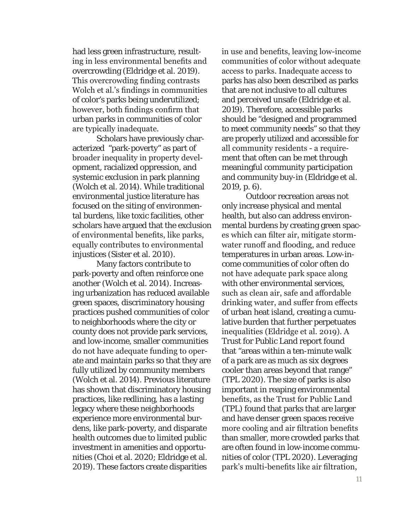had less green infrastructure, resulting in less environmental benefits and overcrowding (Eldridge et al. 2019). This overcrowding finding contrasts Wolch et al.'s findings in communities of color's parks being underutilized; however, both findings confirm that urban parks in communities of color are typically inadequate.

Scholars have previously characterized "park-poverty" as part of broader inequality in property development, racialized oppression, and systemic exclusion in park planning (Wolch et al. 2014). While traditional environmental justice literature has focused on the siting of environmental burdens, like toxic facilities, other scholars have argued that the exclusion of environmental benefits, like parks, equally contributes to environmental injustices (Sister et al. 2010).

Many factors contribute to park-poverty and often reinforce one another (Wolch et al. 2014). Increasing urbanization has reduced available green spaces, discriminatory housing practices pushed communities of color to neighborhoods where the city or county does not provide park services, and low-income, smaller communities do not have adequate funding to operate and maintain parks so that they are fully utilized by community members (Wolch et al. 2014). Previous literature has shown that discriminatory housing practices, like redlining, has a lasting legacy where these neighborhoods experience more environmental burdens, like park-poverty, and disparate health outcomes due to limited public investment in amenities and opportunities (Choi et al. 2020; Eldridge et al. 2019). These factors create disparities

in use and benefits, leaving low-income communities of color without adequate access to parks. Inadequate access to parks has also been described as parks that are not inclusive to all cultures and perceived unsafe (Eldridge et al. 2019). Therefore, accessible parks should be "designed and programmed to meet community needs" so that they are properly utilized and accessible for all community residents - a requirement that often can be met through meaningful community participation and community buy-in (Eldridge et al. 2019, p. 6).

Outdoor recreation areas not only increase physical and mental health, but also can address environmental burdens by creating green spaces which can filter air, mitigate stormwater runoff and flooding, and reduce temperatures in urban areas. Low-income communities of color often do not have adequate park space along with other environmental services, such as clean air, safe and affordable drinking water, and suffer from effects of urban heat island, creating a cumulative burden that further perpetuates inequalities (Eldridge et al. 2019). A Trust for Public Land report found that "areas within a ten-minute walk of a park are as much as six degrees cooler than areas beyond that range" (TPL 2020). The size of parks is also important in reaping environmental benefits, as the Trust for Public Land (TPL) found that parks that are larger and have denser green spaces receive more cooling and air filtration benefits than smaller, more crowded parks that are often found in low-income communities of color (TPL 2020). Leveraging park's multi-benefits like air filtration,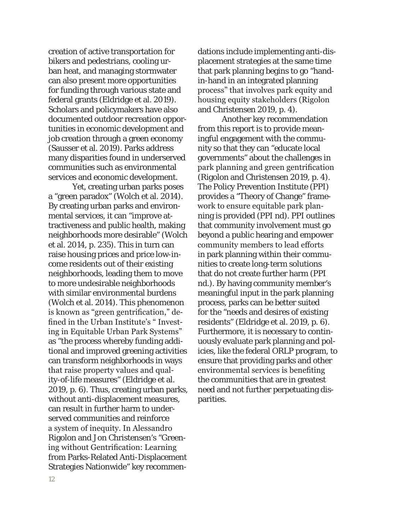creation of active transportation for bikers and pedestrians, cooling urban heat, and managing stormwater can also present more opportunities for funding through various state and federal grants (Eldridge et al. 2019). Scholars and policymakers have also documented outdoor recreation opportunities in economic development and job creation through a green economy (Sausser et al. 2019). Parks address many disparities found in underserved communities such as environmental services and economic development.

Yet, creating urban parks poses a "green paradox" (Wolch et al. 2014). By creating urban parks and environmental services, it can "improve attractiveness and public health, making neighborhoods more desirable" (Wolch et al. 2014, p. 235). This in turn can raise housing prices and price low-income residents out of their existing neighborhoods, leading them to move to more undesirable neighborhoods with similar environmental burdens (Wolch et al. 2014). This phenomenon is known as "green gentrification," defined in the Urban Institute's " Investing in Equitable Urban Park Systems" as "the process whereby funding additional and improved greening activities can transform neighborhoods in ways that raise property values and quality-of-life measures" (Eldridge et al. 2019, p. 6). Thus, creating urban parks, without anti-displacement measures, can result in further harm to underserved communities and reinforce a system of inequity. In Alessandro Rigolon and Jon Christensen's "Greening without Gentrification: Learning from Parks-Related Anti-Displacement Strategies Nationwide" key recommendations include implementing anti-displacement strategies at the same time that park planning begins to go "handin-hand in an integrated planning process" that involves park equity and housing equity stakeholders (Rigolon and Christensen 2019, p. 4).

Another key recommendation from this report is to provide meaningful engagement with the community so that they can "educate local governments" about the challenges in park planning and green gentrification (Rigolon and Christensen 2019, p. 4). The Policy Prevention Institute (PPI) provides a "Theory of Change" framework to ensure equitable park planning is provided (PPI nd). PPI outlines that community involvement must go beyond a public hearing and empower community members to lead efforts in park planning within their communities to create long-term solutions that do not create further harm (PPI nd.). By having community member's meaningful input in the park planning process, parks can be better suited for the "needs and desires of existing residents" (Eldridge et al. 2019, p. 6). Furthermore, it is necessary to continuously evaluate park planning and policies, like the federal ORLP program, to ensure that providing parks and other environmental services is benefiting the communities that are in greatest need and not further perpetuating disparities.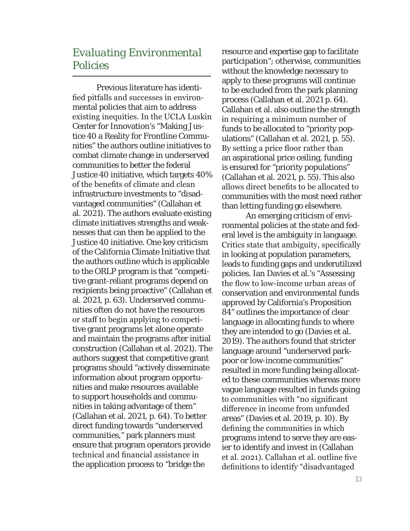#### *Evaluating Environmental Policies*

Previous literature has identified pitfalls and successes in environmental policies that aim to address existing inequities. In the UCLA Luskin Center for Innovation's "Making Justice 40 a Reality for Frontline Communities" the authors outline initiatives to combat climate change in underserved communities to better the federal Justice 40 initiative, which targets 40% of the benefits of climate and clean infrastructure investments to "disadvantaged communities" (Callahan et al. 2021). The authors evaluate existing climate initiatives strengths and weaknesses that can then be applied to the Justice 40 initiative. One key criticism of the California Climate Initiative that the authors outline which is applicable to the ORLP program is that "competitive grant-reliant programs depend on recipients being proactive" (Callahan et al. 2021, p. 63). Underserved communities often do not have the resources or staff to begin applying to competitive grant programs let alone operate and maintain the programs after initial construction (Callahan et al. 2021). The authors suggest that competitive grant programs should "actively disseminate information about program opportunities and make resources available to support households and communities in taking advantage of them" (Callahan et al. 2021, p. 64). To better direct funding towards "underserved communities," park planners must ensure that program operators provide technical and financial assistance in the application process to "bridge the

resource and expertise gap to facilitate participation"; otherwise, communities without the knowledge necessary to apply to these programs will continue to be excluded from the park planning process (Callahan et al. 2021 p. 64). Callahan et al. also outline the strength in requiring a minimum number of funds to be allocated to "priority populations" (Callahan et al. 2021, p. 55). By setting a price floor rather than an aspirational price ceiling, funding is ensured for "priority populations" (Callahan et al. 2021, p. 55). This also allows direct benefits to be allocated to communities with the most need rather than letting funding go elsewhere.

An emerging criticism of environmental policies at the state and federal level is the ambiguity in language. Critics state that ambiguity, specifically in looking at population parameters, leads to funding gaps and underutilized policies. Ian Davies et al.'s "Assessing the flow to low-income urban areas of conservation and environmental funds approved by California's Proposition 84" outlines the importance of clear language in allocating funds to where they are intended to go (Davies et al. 2019). The authors found that stricter language around "underserved parkpoor or low-income communities" resulted in more funding being allocated to these communities whereas more vague language resulted in funds going to communities with "no significant difference in income from unfunded areas" (Davies et al. 2019, p. 10). By defining the communities in which programs intend to serve they are easier to identify and invest in (Callahan et al. 2021). Callahan et al. outline five definitions to identify "disadvantaged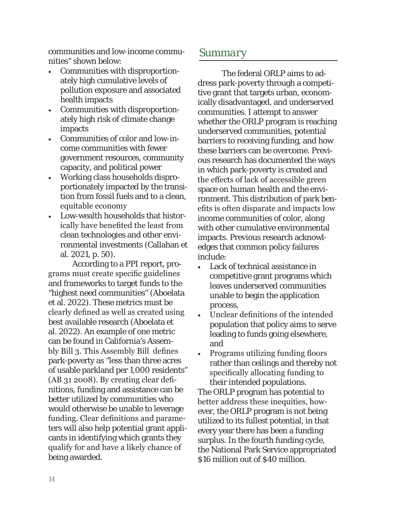communities and low-income commu-<br>
Summary nities" shown below:

- Communities with disproportionately high cumulative levels of pollution exposure and associated health impacts
- Communities with disproportionately high risk of climate change impacts
- Communities of color and low-income communities with fewer government resources, community capacity, and political power
- Working class households disproportionately impacted by the transition from fossil fuels and to a clean, equitable economy
- Low-wealth households that historically have benefited the least from clean technologies and other environmental investments (Callahan et al. 2021, p. 50).

According to a PPI report, programs must create specific guidelines and frameworks to target funds to the "highest need communities" (Aboelata et al. 2022). These metrics must be clearly defined as well as created using best available research (Aboelata et al. 2022). An example of one metric can be found in California's Assembly Bill 3. This Assembly Bill defines park-poverty as "less than three acres of usable parkland per 1,000 residents" (AB 31 2008). By creating clear definitions, funding and assistance can be better utilized by communities who would otherwise be unable to leverage funding. Clear definitions and parameters will also help potential grant applicants in identifying which grants they qualify for and have a likely chance of being awarded.

The federal ORLP aims to address park-poverty through a competitive grant that targets urban, economically disadvantaged, and underserved communities. I attempt to answer whether the ORLP program is reaching underserved communities, potential barriers to receiving funding, and how these barriers can be overcome. Previous research has documented the ways in which park-poverty is created and the effects of lack of accessible green space on human health and the environment. This distribution of park benefits is often disparate and impacts low income communities of color, along with other cumulative environmental impacts. Previous research acknowledges that common policy failures include:

- Lack of technical assistance in competitive grant programs which leaves underserved communities unable to begin the application process,
- Unclear definitions of the intended population that policy aims to serve leading to funds going elsewhere, and
- Programs utilizing funding floors rather than ceilings and thereby not specifically allocating funding to their intended populations.

The ORLP program has potential to better address these inequities, however, the ORLP program is not being utilized to its fullest potential, in that every year there has been a funding surplus. In the fourth funding cycle, the National Park Service appropriated \$16 million out of \$40 million.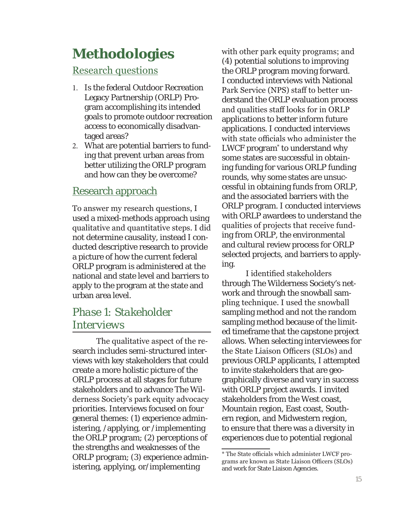### **Methodologies**

#### Research questions

- 1. Is the federal Outdoor Recreation Legacy Partnership (ORLP) Program accomplishing its intended goals to promote outdoor recreation access to economically disadvantaged areas?
- 2. What are potential barriers to funding that prevent urban areas from better utilizing the ORLP program and how can they be overcome?

#### Research approach

To answer my research questions, I used a mixed-methods approach using qualitative and quantitative steps. I did not determine causality, instead I conducted descriptive research to provide a picture of how the current federal ORLP program is administered at the national and state level and barriers to apply to the program at the state and urban area level.

#### *Phase 1: Stakeholder Interviews*

The qualitative aspect of the research includes semi-structured interviews with key stakeholders that could create a more holistic picture of the ORLP process at all stages for future stakeholders and to advance The Wilderness Society's park equity advocacy priorities. Interviews focused on four general themes: (1) experience administering, /applying, or /implementing the ORLP program; (2) perceptions of the strengths and weaknesses of the ORLP program; (3) experience administering, applying, or/implementing

with other park equity programs; and (4) potential solutions to improving the ORLP program moving forward. I conducted interviews with National Park Service (NPS) staff to better understand the ORLP evaluation process and qualities staff looks for in ORLP applications to better inform future applications. I conducted interviews with state officials who administer the LWCF program\* to understand why some states are successful in obtaining funding for various ORLP funding rounds, why some states are unsuccessful in obtaining funds from ORLP, and the associated barriers with the ORLP program. I conducted interviews with ORLP awardees to understand the qualities of projects that receive funding from ORLP, the environmental and cultural review process for ORLP selected projects, and barriers to applying.

I identified stakeholders through The Wilderness Society's network and through the snowball sampling technique. I used the snowball sampling method and not the random sampling method because of the limited timeframe that the capstone project allows. When selecting interviewees for the State Liaison Officers (SLOs) and previous ORLP applicants, I attempted to invite stakeholders that are geographically diverse and vary in success with ORLP project awards. I invited stakeholders from the West coast, Mountain region, East coast, Southern region, and Midwestern region, to ensure that there was a diversity in experiences due to potential regional

<sup>\*</sup> The State officials which administer LWCF programs are known as State Liaison Officers (SLOs) and work for State Liaison Agencies.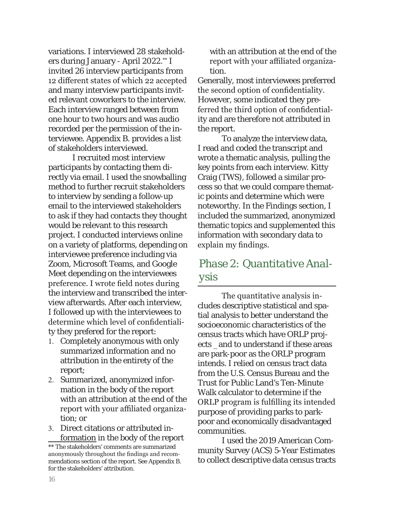variations. I interviewed 28 stakeholders during January - April 2022.\*\* I invited 26 interview participants from 12 different states of which 22 accepted and many interview participants invited relevant coworkers to the interview. Each interview ranged between from one hour to two hours and was audio recorded per the permission of the interviewee. Appendix B. provides a list of stakeholders interviewed.

I recruited most interview participants by contacting them directly via email. I used the snowballing method to further recruit stakeholders to interview by sending a follow-up email to the interviewed stakeholders to ask if they had contacts they thought would be relevant to this research project. I conducted interviews online on a variety of platforms, depending on interviewee preference including via Zoom, Microsoft Teams, and Google Meet depending on the interviewees preference. I wrote field notes during the interview and transcribed the interview afterwards. After each interview, I followed up with the interviewees to determine which level of confidentiality they prefered for the report:

- 1. Completely anonymous with only summarized information and no attribution in the entirety of the report;
- 2. Summarized, anonymized information in the body of the report with an attribution at the end of the report with your affiliated organization; or
- 3. Direct citations or attributed information in the body of the report

with an attribution at the end of the report with your affiliated organization.

Generally, most interviewees preferred the second option of confidentiality. However, some indicated they preferred the third option of confidentiality and are therefore not attributed in the report.

To analyze the interview data, I read and coded the transcript and wrote a thematic analysis, pulling the key points from each interview. Kitty Craig (TWS), followed a similar process so that we could compare thematic points and determine which were noteworthy. In the Findings section, I included the summarized, anonymized thematic topics and supplemented this information with secondary data to explain my findings.

#### *Phase 2: Quantitative Analysis*

The quantitative analysis includes descriptive statistical and spatial analysis to better understand the socioeconomic characteristics of the census tracts which have ORLP projects and to understand if these areas are park-poor as the ORLP program intends. I relied on census tract data from the U.S. Census Bureau and the Trust for Public Land's Ten-Minute Walk calculator to determine if the ORLP program is fulfilling its intended purpose of providing parks to parkpoor and economically disadvantaged communities.

I used the 2019 American Community Survey (ACS) 5-Year Estimates to collect descriptive data census tracts

<sup>\*\*</sup> The stakeholders' comments are summarized anonymously throughout the findings and recommendations section of the report. See Appendix B. for the stakeholders' attribution.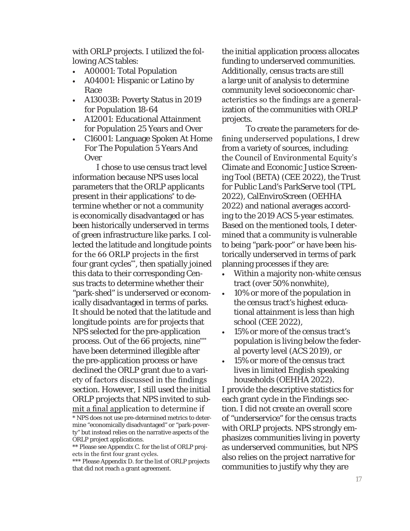with ORLP projects. I utilized the following ACS tables:

- A00001: Total Population
- A04001: Hispanic or Latino by Race
- A13003B: Poverty Status in 2019 for Population 18-64
- A12001: Educational Attainment for Population 25 Years and Over
- C16001: Language Spoken At Home For The Population 5 Years And **Over**

I chose to use census tract level information because NPS uses local parameters that the ORLP applicants present in their applications\* to determine whether or not a community is economically disadvantaged or has been historically underserved in terms of green infrastructure like parks. I collected the latitude and longitude points for the 66 ORLP projects in the first four grant cycles\*\*, then spatially joined this data to their corresponding Census tracts to determine whether their "park-shed" is underserved or economically disadvantaged in terms of parks. It should be noted that the latitude and longitude points are for projects that NPS selected for the pre-application process. Out of the 66 projects, nine\*\*\* have been determined illegible after the pre-application process or have declined the ORLP grant due to a variety of factors discussed in the findings section. However, I still used the initial ORLP projects that NPS invited to subthe initial application process allocates funding to underserved communities. Additionally, census tracts are still a large unit of analysis to determine community level socioeconomic characteristics so the findings are a generalization of the communities with ORLP projects.

To create the parameters for defining underserved populations, I drew from a variety of sources, including: the Council of Environmental Equity's Climate and Economic Justice Screening Tool (BETA) (CEE 2022), the Trust for Public Land's ParkServe tool (TPL 2022), CalEnviroScreen (OEHHA 2022) and national averages according to the 2019 ACS 5-year estimates. Based on the mentioned tools, I determined that a community is vulnerable to being "park-poor" or have been historically underserved in terms of park planning processes if they are:

- Within a majority non-white census tract (over 50% nonwhite),
- 10% or more of the population in the census tract's highest educational attainment is less than high school (CEE 2022),
- 15% or more of the census tract's population is living below the federal poverty level (ACS 2019), or
- 15% or more of the census tract lives in limited English speaking households (OEHHA 2022).

I provide the descriptive statistics for each grant cycle in the Findings section. I did not create an overall score of "underservice" for the census tracts with ORLP projects. NPS strongly emphasizes communities living in poverty as underserved communities, but NPS also relies on the project narrative for communities to justify why they are

mit a final application to determine if \* NPS does not use pre-determined metrics to determine "economically disadvantaged" or "park-poverty" but instead relies on the narrative aspects of the ORLP project applications.

<sup>\*\*</sup> Please see Appendix C. for the list of ORLP projects in the first four grant cycles.

<sup>\*\*\*</sup> Please Appendix D. for the list of ORLP projects that did not reach a grant agreement.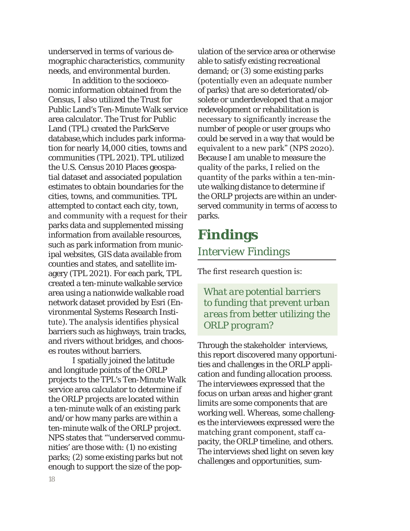underserved in terms of various demographic characteristics, community needs, and environmental burden.

In addition to the socioeconomic information obtained from the Census, I also utilized the Trust for Public Land's Ten-Minute Walk service area calculator. The Trust for Public Land (TPL) created the ParkServe database,which includes park information for nearly 14,000 cities, towns and communities (TPL 2021). TPL utilized the U.S. Census 2010 Places geospatial dataset and associated population estimates to obtain boundaries for the cities, towns, and communities. TPL attempted to contact each city, town, and community with a request for their parks data and supplemented missing information from available resources, such as park information from municipal websites, GIS data available from counties and states, and satellite imagery (TPL 2021). For each park, TPL created a ten-minute walkable service area using a nationwide walkable road network dataset provided by Esri (Environmental Systems Research Institute). The analysis identifies physical barriers such as highways, train tracks, and rivers without bridges, and chooses routes without barriers.

I spatially joined the latitude and longitude points of the ORLP projects to the TPL's Ten-Minute Walk service area calculator to determine if the ORLP projects are located within a ten-minute walk of an existing park and/or how many parks are within a ten-minute walk of the ORLP project. NPS states that "'underserved communities' are those with: (1) no existing parks; (2) some existing parks but not enough to support the size of the population of the service area or otherwise able to satisfy existing recreational demand; or (3) some existing parks (potentially even an adequate number of parks) that are so deteriorated/obsolete or underdeveloped that a major redevelopment or rehabilitation is necessary to significantly increase the number of people or user groups who could be served in a way that would be equivalent to a new park" (NPS 2020). Because I am unable to measure the quality of the parks, I relied on the quantity of the parks within a ten-minute walking distance to determine if the ORLP projects are within an underserved community in terms of access to parks.

### **Findings** *Interview Findings*

The first research question is:

*What are potential barriers to funding that prevent urban areas from better utilizing the ORLP program?* 

Through the stakeholder interviews, this report discovered many opportunities and challenges in the ORLP application and funding allocation process. The interviewees expressed that the focus on urban areas and higher grant limits are some components that are working well. Whereas, some challenges the interviewees expressed were the matching grant component, staff capacity, the ORLP timeline, and others. The interviews shed light on seven key challenges and opportunities, sum-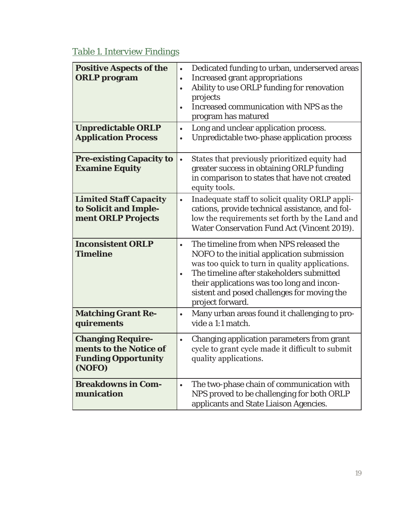*Table 1. Interview Findings*

| <b>Positive Aspects of the</b><br><b>ORLP</b> program<br><b>Unpredictable ORLP</b><br><b>Application Process</b> | Dedicated funding to urban, underserved areas<br>$\bullet$<br><b>Increased grant appropriations</b><br>$\bullet$<br>Ability to use ORLP funding for renovation<br>$\bullet$<br>projects<br>Increased communication with NPS as the<br>$\bullet$<br>program has matured<br>Long and unclear application process.<br>$\bullet$<br>Unpredictable two-phase application process<br>$\bullet$ |
|------------------------------------------------------------------------------------------------------------------|------------------------------------------------------------------------------------------------------------------------------------------------------------------------------------------------------------------------------------------------------------------------------------------------------------------------------------------------------------------------------------------|
| <b>Pre-existing Capacity to</b><br><b>Examine Equity</b>                                                         | States that previously prioritized equity had<br>$\bullet$<br>greater success in obtaining ORLP funding<br>in comparison to states that have not created<br>equity tools.                                                                                                                                                                                                                |
| <b>Limited Staff Capacity</b><br>to Solicit and Imple-<br>ment ORLP Projects                                     | Inadequate staff to solicit quality ORLP appli-<br>$\bullet$<br>cations, provide technical assistance, and fol-<br>low the requirements set forth by the Land and<br>Water Conservation Fund Act (Vincent 2019).                                                                                                                                                                         |
| <b>Inconsistent ORLP</b><br><b>Timeline</b>                                                                      | The timeline from when NPS released the<br>$\bullet$<br>NOFO to the initial application submission<br>was too quick to turn in quality applications.<br>The timeline after stakeholders submitted<br>$\bullet$<br>their applications was too long and incon-<br>sistent and posed challenges for moving the<br>project forward.                                                          |
| <b>Matching Grant Re-</b><br>quirements                                                                          | Many urban areas found it challenging to pro-<br>$\bullet$<br>vide a 1:1 match.                                                                                                                                                                                                                                                                                                          |
| <b>Changing Require-</b><br>ments to the Notice of<br><b>Funding Opportunity</b><br>(NOFO)                       | Changing application parameters from grant<br>$\bullet$<br>cycle to grant cycle made it difficult to submit<br>quality applications.                                                                                                                                                                                                                                                     |
| <b>Breakdowns in Com-</b><br>munication                                                                          | The two-phase chain of communication with<br>$\bullet$<br>NPS proved to be challenging for both ORLP<br>applicants and State Liaison Agencies.                                                                                                                                                                                                                                           |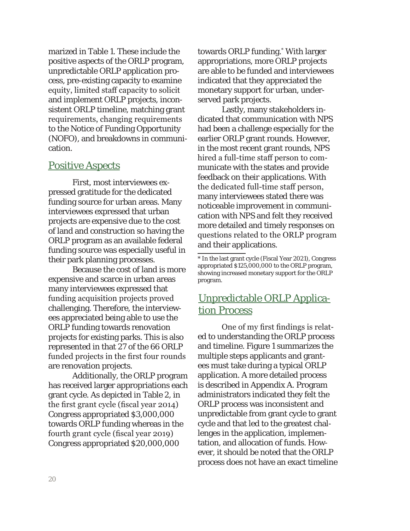marized in Table 1. These include the positive aspects of the ORLP program, unpredictable ORLP application process, pre-existing capacity to examine equity, limited staff capacity to solicit and implement ORLP projects, inconsistent ORLP timeline, matching grant requirements, changing requirements to the Notice of Funding Opportunity (NOFO), and breakdowns in communication.

#### Positive Aspects

First, most interviewees expressed gratitude for the dedicated funding source for urban areas. Many interviewees expressed that urban projects are expensive due to the cost of land and construction so having the ORLP program as an available federal funding source was especially useful in their park planning processes.

Because the cost of land is more expensive and scarce in urban areas many interviewees expressed that funding acquisition projects proved challenging. Therefore, the interviewees appreciated being able to use the ORLP funding towards renovation projects for existing parks. This is also represented in that 27 of the 66 ORLP funded projects in the first four rounds are renovation projects.

Additionally, the ORLP program has received larger appropriations each grant cycle. As depicted in Table 2, in the first grant cycle (fiscal year 2014) Congress appropriated \$3,000,000 towards ORLP funding whereas in the fourth grant cycle (fiscal year 2019) Congress appropriated \$20,000,000

towards ORLP funding.\* With larger appropriations, more ORLP projects are able to be funded and interviewees indicated that they appreciated the monetary support for urban, underserved park projects.

Lastly, many stakeholders indicated that communication with NPS had been a challenge especially for the earlier ORLP grant rounds. However, in the most recent grant rounds, NPS hired a full-time staff person to communicate with the states and provide feedback on their applications. With the dedicated full-time staff person, many interviewees stated there was noticeable improvement in communication with NPS and felt they received more detailed and timely responses on questions related to the ORLP program and their applications.

#### Unpredictable ORLP Application Process

One of my first findings is related to understanding the ORLP process and timeline. Figure 1 summarizes the multiple steps applicants and grantees must take during a typical ORLP application. A more detailed process is described in Appendix A. Program administrators indicated they felt the ORLP process was inconsistent and unpredictable from grant cycle to grant cycle and that led to the greatest challenges in the application, implementation, and allocation of funds. However, it should be noted that the ORLP process does not have an exact timeline

<sup>\*</sup> In the last grant cycle (Fiscal Year 2021), Congress appropriated \$125,000,000 to the ORLP program, showing increased monetary support for the ORLP program.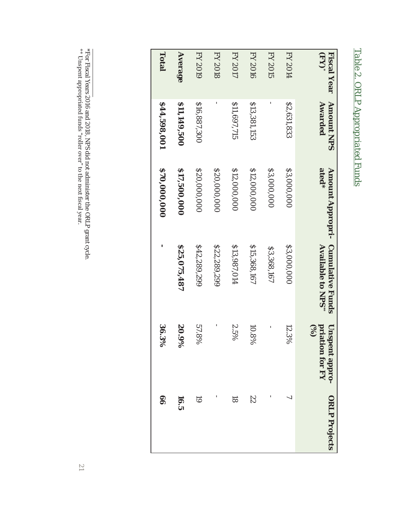| ļ<br>l<br>ŀ<br>þ<br>Ć<br>١<br>ι<br>٥   |
|----------------------------------------|
| ĺ                                      |
| ĩ<br>⋗<br>Þ<br>֧֧֓֓֓ <b>֓</b> ֧֚֓֝֬    |
|                                        |
| Í<br>י                                 |
| Ī<br>l<br>i.<br>٢<br>i<br>ı<br>١<br>ä, |
| i<br>l<br>ļ<br>ä,<br>נ                 |

| (KY)<br><b>Fiscal Year</b> | <b>Amount NPS</b><br>Awarded | ated*<br>Amount Appropri- Cumulative Funds | <b>Available to NPS"</b> | (%)<br>priation for FY<br>Unspent appro- | <b>ORLP Projects</b> |
|----------------------------|------------------------------|--------------------------------------------|--------------------------|------------------------------------------|----------------------|
| F122014                    | \$2,631,833                  | \$3,000,000                                | \$3,000,000              | $12.3\%$                                 |                      |
| <b>FY 2015</b>             |                              | \$3,000,000                                | \$3,368,167              |                                          |                      |
| <b>FY 2016</b>             | \$13,381,153                 | \$12,000,000                               | \$15,368,167             | $10.8\%$                                 | 22                   |
| <b>FY 2017</b>             | \$11,697,715                 | \$12,000,000                               | \$13,987,014             | 2.5%                                     | $\overline{8}$       |
| <b>FY 2018</b>             |                              | \$20,000,000                               | 822,289,299              |                                          |                      |
| 610 <sub>2</sub>           | \$16,887,300                 | \$20,000,000                               | \$42,289,299             | 57.8%                                    | $\overline{6}$       |
| Average                    | \$11,149,500                 | \$17,500,000                               | \$25,075,487             | $20.9\%$                                 | 16.5                 |
| Total                      | \$44,598,001                 | \$70,000,000                               |                          | $36.3\%$                                 | 99                   |

\*For Fiscal Years 2016 and 2018, NPS did not administer the ORLP grant cycle.  $^{**}$  Unspent appropriated funds "roller over" to the next fiscal year. \*\* Unspent appropriated funds "roller over" to the next fiscal year. \*For Fiscal Years 2016 and 2018, NPS did not administer the ORLP grant cycle.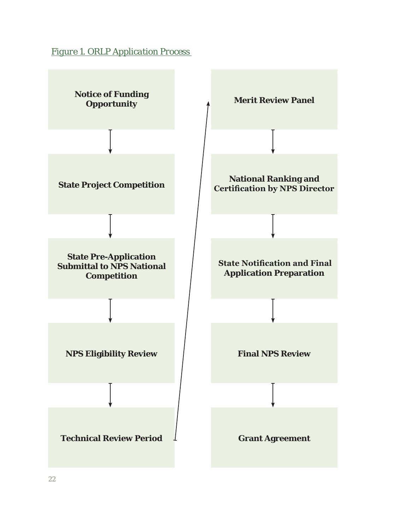*Figure 1. ORLP Application Process* 

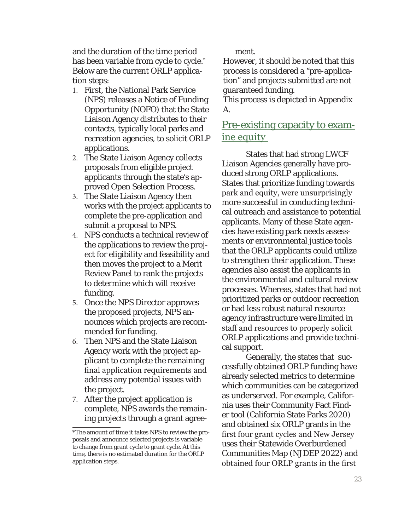and the duration of the time period has been variable from cycle to cycle.\* Below are the current ORLP application steps:

- 1. First, the National Park Service (NPS) releases a Notice of Funding Opportunity (NOFO) that the State Liaison Agency distributes to their contacts, typically local parks and recreation agencies, to solicit ORLP applications.
- 2. The State Liaison Agency collects proposals from eligible project applicants through the state's approved Open Selection Process.
- 3. The State Liaison Agency then works with the project applicants to complete the pre-application and submit a proposal to NPS.
- 4. NPS conducts a technical review of the applications to review the project for eligibility and feasibility and then moves the project to a Merit Review Panel to rank the projects to determine which will receive funding.
- 5. Once the NPS Director approves the proposed projects, NPS announces which projects are recommended for funding.
- 6. Then NPS and the State Liaison Agency work with the project applicant to complete the remaining final application requirements and address any potential issues with the project.
- 7. After the project application is complete, NPS awards the remaining projects through a grant agree-

ment.

However, it should be noted that this process is considered a "pre-application" and projects submitted are not guaranteed funding.

This process is depicted in Appendix A.

#### Pre-existing capacity to examine equity

States that had strong LWCF Liaison Agencies generally have produced strong ORLP applications. States that prioritize funding towards park and equity, were unsurprisingly more successful in conducting technical outreach and assistance to potential applicants. Many of these State agencies have existing park needs assessments or environmental justice tools that the ORLP applicants could utilize to strengthen their application. These agencies also assist the applicants in the environmental and cultural review processes. Whereas, states that had not prioritized parks or outdoor recreation or had less robust natural resource agency infrastructure were limited in staff and resources to properly solicit ORLP applications and provide technical support.

Generally, the states that successfully obtained ORLP funding have already selected metrics to determine which communities can be categorized as underserved. For example, California uses their Community Fact Finder tool (California State Parks 2020) and obtained six ORLP grants in the first four grant cycles and New Jersey uses their Statewide Overburdened Communities Map (NJDEP 2022) and obtained four ORLP grants in the first

<sup>\*</sup>The amount of time it takes NPS to review the proposals and announce selected projects is variable to change from grant cycle to grant cycle. At this time, there is no estimated duration for the ORLP application steps.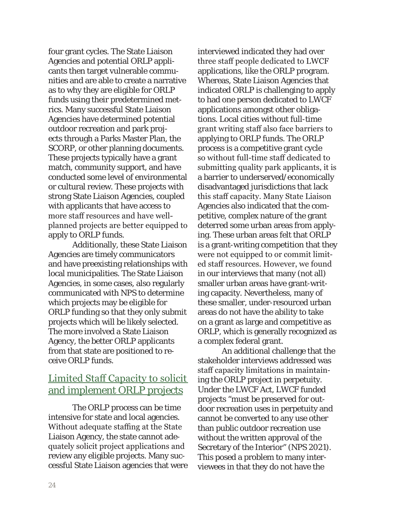four grant cycles. The State Liaison Agencies and potential ORLP applicants then target vulnerable communities and are able to create a narrative as to why they are eligible for ORLP funds using their predetermined metrics. Many successful State Liaison Agencies have determined potential outdoor recreation and park projects through a Parks Master Plan, the SCORP, or other planning documents. These projects typically have a grant match, community support, and have conducted some level of environmental or cultural review. These projects with strong State Liaison Agencies, coupled with applicants that have access to more staff resources and have wellplanned projects are better equipped to apply to ORLP funds.

Additionally, these State Liaison Agencies are timely communicators and have preexisting relationships with local municipalities. The State Liaison Agencies, in some cases, also regularly communicated with NPS to determine which projects may be eligible for ORLP funding so that they only submit projects which will be likely selected. The more involved a State Liaison Agency, the better ORLP applicants from that state are positioned to receive ORLP funds.

#### Limited Staff Capacity to solicit and implement ORLP projects

The ORLP process can be time intensive for state and local agencies. Without adequate staffing at the State Liaison Agency, the state cannot adequately solicit project applications and review any eligible projects. Many successful State Liaison agencies that were interviewed indicated they had over three staff people dedicated to LWCF applications, like the ORLP program. Whereas, State Liaison Agencies that indicated ORLP is challenging to apply to had one person dedicated to LWCF applications amongst other obligations. Local cities without full-time grant writing staff also face barriers to applying to ORLP funds. The ORLP process is a competitive grant cycle so without full-time staff dedicated to submitting quality park applicants, it is a barrier to underserved/economically disadvantaged jurisdictions that lack this staff capacity. Many State Liaison Agencies also indicated that the competitive, complex nature of the grant deterred some urban areas from applying. These urban areas felt that ORLP is a grant-writing competition that they were not equipped to or commit limited staff resources. However, we found in our interviews that many (not all) smaller urban areas have grant-writing capacity. Nevertheless, many of these smaller, under-resourced urban areas do not have the ability to take on a grant as large and competitive as ORLP, which is generally recognized as a complex federal grant.

An additional challenge that the stakeholder interviews addressed was staff capacity limitations in maintaining the ORLP project in perpetuity. Under the LWCF Act, LWCF funded projects "must be preserved for outdoor recreation uses in perpetuity and cannot be converted to any use other than public outdoor recreation use without the written approval of the Secretary of the Interior" (NPS 2021). This posed a problem to many interviewees in that they do not have the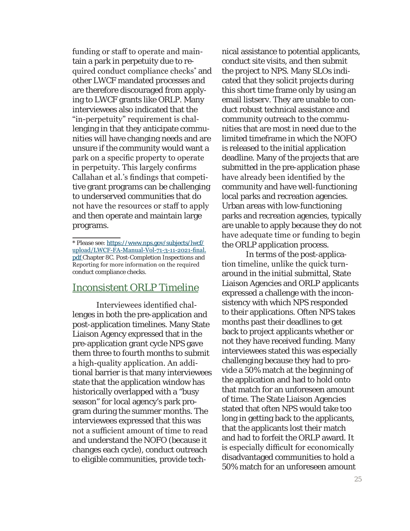funding or staff to operate and maintain a park in perpetuity due to required conduct compliance checks\* and other LWCF mandated processes and are therefore discouraged from applying to LWCF grants like ORLP. Many interviewees also indicated that the "in-perpetuity" requirement is challenging in that they anticipate communities will have changing needs and are unsure if the community would want a park on a specific property to operate in perpetuity. This largely confirms Callahan et al.'s findings that competitive grant programs can be challenging to underserved communities that do not have the resources or staff to apply and then operate and maintain large programs.

#### Inconsistent ORLP Timeline

Interviewees identified challenges in both the pre-application and post-application timelines. Many State Liaison Agency expressed that in the pre-application grant cycle NPS gave them three to fourth months to submit a high-quality application. An additional barrier is that many interviewees state that the application window has historically overlapped with a "busy season" for local agency's park program during the summer months. The interviewees expressed that this was not a sufficient amount of time to read and understand the NOFO (because it changes each cycle), conduct outreach to eligible communities, provide technical assistance to potential applicants, conduct site visits, and then submit the project to NPS. Many SLOs indicated that they solicit projects during this short time frame only by using an email listserv. They are unable to conduct robust technical assistance and community outreach to the communities that are most in need due to the limited timeframe in which the NOFO is released to the initial application deadline. Many of the projects that are submitted in the pre-application phase have already been identified by the community and have well-functioning local parks and recreation agencies. Urban areas with low-functioning parks and recreation agencies, typically are unable to apply because they do not have adequate time or funding to begin the ORLP application process.

In terms of the post-application timeline, unlike the quick turnaround in the initial submittal, State Liaison Agencies and ORLP applicants expressed a challenge with the inconsistency with which NPS responded to their applications. Often NPS takes months past their deadlines to get back to project applicants whether or not they have received funding. Many interviewees stated this was especially challenging because they had to provide a 50% match at the beginning of the application and had to hold onto that match for an unforeseen amount of time. The State Liaison Agencies stated that often NPS would take too long in getting back to the applicants, that the applicants lost their match and had to forfeit the ORLP award. It is especially difficult for economically disadvantaged communities to hold a 50% match for an unforeseen amount

<sup>\*</sup> Please see: https://www.nps.gov/subjects/lwcf/ upload/LWCF-FA-Manual-Vol-71-3-11-2021-final. pdf Chapter 8C. Post-Completion Inspections and Reporting for more information on the required conduct compliance checks.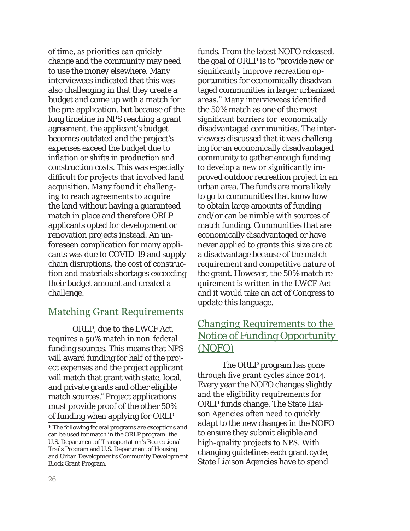of time, as priorities can quickly change and the community may need to use the money elsewhere. Many interviewees indicated that this was also challenging in that they create a budget and come up with a match for the pre-application, but because of the long timeline in NPS reaching a grant agreement, the applicant's budget becomes outdated and the project's expenses exceed the budget due to inflation or shifts in production and construction costs. This was especially difficult for projects that involved land acquisition. Many found it challenging to reach agreements to acquire the land without having a guaranteed match in place and therefore ORLP applicants opted for development or renovation projects instead. An unforeseen complication for many applicants was due to COVID-19 and supply chain disruptions, the cost of construction and materials shortages exceeding their budget amount and created a challenge.

#### Matching Grant Requirements

ORLP, due to the LWCF Act, requires a 50% match in non-federal funding sources. This means that NPS will award funding for half of the project expenses and the project applicant will match that grant with state, local, and private grants and other eligible match sources.\* Project applications must provide proof of the other 50% of funding when applying for ORLP

funds. From the latest NOFO released, the goal of ORLP is to "provide new or significantly improve recreation opportunities for economically disadvantaged communities in larger urbanized areas." Many interviewees identified the 50% match as one of the most significant barriers for economically disadvantaged communities. The interviewees discussed that it was challenging for an economically disadvantaged community to gather enough funding to develop a new or significantly improved outdoor recreation project in an urban area. The funds are more likely to go to communities that know how to obtain large amounts of funding and/or can be nimble with sources of match funding. Communities that are economically disadvantaged or have never applied to grants this size are at a disadvantage because of the match requirement and competitive nature of the grant. However, the 50% match requirement is written in the LWCF Act and it would take an act of Congress to update this language.

#### Changing Requirements to the Notice of Funding Opportunity (NOFO)

The ORLP program has gone through five grant cycles since 2014. Every year the NOFO changes slightly and the eligibility requirements for ORLP funds change. The State Liaison Agencies often need to quickly adapt to the new changes in the NOFO to ensure they submit eligible and high-quality projects to NPS. With changing guidelines each grant cycle, State Liaison Agencies have to spend

<sup>\*</sup> The following federal programs are exceptions and can be used for match in the ORLP program: the U.S. Department of Transportation's Recreational Trails Program and U.S. Department of Housing and Urban Development's Community Development Block Grant Program.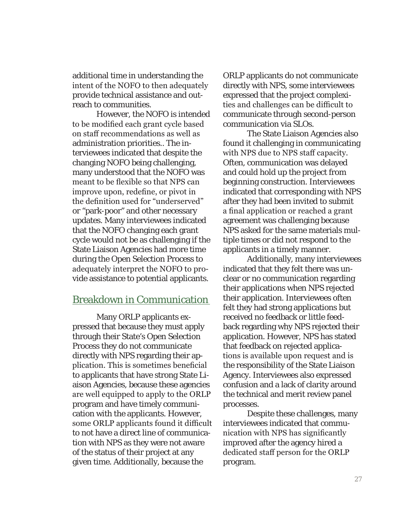additional time in understanding the intent of the NOFO to then adequately provide technical assistance and outreach to communities.

However, the NOFO is intended to be modified each grant cycle based on staff recommendations as well as administration priorities.. The interviewees indicated that despite the changing NOFO being challenging, many understood that the NOFO was meant to be flexible so that NPS can improve upon, redefine, or pivot in the definition used for "underserved" or "park-poor" and other necessary updates. Many interviewees indicated that the NOFO changing each grant cycle would not be as challenging if the State Liaison Agencies had more time during the Open Selection Process to adequately interpret the NOFO to provide assistance to potential applicants.

#### Breakdown in Communication

Many ORLP applicants expressed that because they must apply through their State's Open Selection Process they do not communicate directly with NPS regarding their application. This is sometimes beneficial to applicants that have strong State Liaison Agencies, because these agencies are well equipped to apply to the ORLP program and have timely communication with the applicants. However, some ORLP applicants found it difficult to not have a direct line of communication with NPS as they were not aware of the status of their project at any given time. Additionally, because the

ORLP applicants do not communicate directly with NPS, some interviewees expressed that the project complexities and challenges can be difficult to communicate through second-person communication via SLOs.

The State Liaison Agencies also found it challenging in communicating with NPS due to NPS staff capacity. Often, communication was delayed and could hold up the project from beginning construction. Interviewees indicated that corresponding with NPS after they had been invited to submit a final application or reached a grant agreement was challenging because NPS asked for the same materials multiple times or did not respond to the applicants in a timely manner.

Additionally, many interviewees indicated that they felt there was unclear or no communication regarding their applications when NPS rejected their application. Interviewees often felt they had strong applications but received no feedback or little feedback regarding why NPS rejected their application. However, NPS has stated that feedback on rejected applications is available upon request and is the responsibility of the State Liaison Agency. Interviewees also expressed confusion and a lack of clarity around the technical and merit review panel processes.

Despite these challenges, many interviewees indicated that communication with NPS has significantly improved after the agency hired a dedicated staff person for the ORLP program.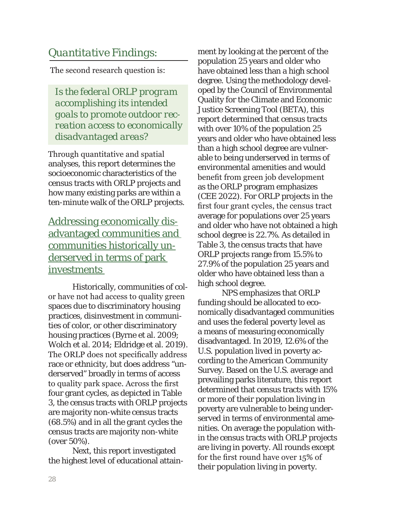#### *Quantitative Findings:*

The second research question is:

*Is the federal ORLP program accomplishing its intended goals to promote outdoor recreation access to economically disadvantaged areas?* 

Through quantitative and spatial analyses, this report determines the socioeconomic characteristics of the census tracts with ORLP projects and how many existing parks are within a ten-minute walk of the ORLP projects.

#### Addressing economically disadvantaged communities and communities historically underserved in terms of park investments

Historically, communities of color have not had access to quality green spaces due to discriminatory housing practices, disinvestment in communities of color, or other discriminatory housing practices (Byrne et al. 2009; Wolch et al. 2014; Eldridge et al. 2019). The ORLP does not specifically address race or ethnicity, but does address "underserved" broadly in terms of access to quality park space. Across the first four grant cycles, as depicted in Table 3, the census tracts with ORLP projects are majority non-white census tracts (68.5%) and in all the grant cycles the census tracts are majority non-white (over 50%).

Next, this report investigated the highest level of educational attainment by looking at the percent of the population 25 years and older who have obtained less than a high school degree. Using the methodology developed by the Council of Environmental Quality for the Climate and Economic Justice Screening Tool (BETA), this report determined that census tracts with over 10% of the population 25 years and older who have obtained less than a high school degree are vulnerable to being underserved in terms of environmental amenities and would benefit from green job development as the ORLP program emphasizes (CEE 2022). For ORLP projects in the first four grant cycles, the census tract average for populations over 25 years and older who have not obtained a high school degree is 22.7%. As detailed in Table 3, the census tracts that have ORLP projects range from 15.5% to 27.9% of the population 25 years and older who have obtained less than a high school degree.

NPS emphasizes that ORLP funding should be allocated to economically disadvantaged communities and uses the federal poverty level as a means of measuring economically disadvantaged. In 2019, 12.6% of the U.S. population lived in poverty according to the American Community Survey. Based on the U.S. average and prevailing parks literature, this report determined that census tracts with 15% or more of their population living in poverty are vulnerable to being underserved in terms of environmental amenities. On average the population within the census tracts with ORLP projects are living in poverty. All rounds except for the first round have over 15% of their population living in poverty.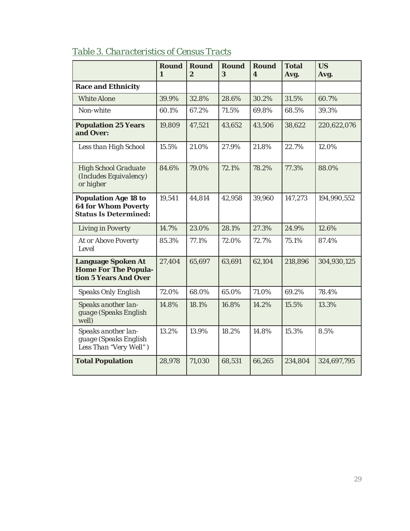|                                                                                           | <b>Round</b><br>$\mathbf{1}$ | <b>Round</b><br>$\mathbf{2}$ | <b>Round</b><br>$\mathbf{R}$ | <b>Round</b><br>4 | <b>Total</b><br>Avg. | <b>US</b><br>Avg. |
|-------------------------------------------------------------------------------------------|------------------------------|------------------------------|------------------------------|-------------------|----------------------|-------------------|
| <b>Race and Ethnicity</b>                                                                 |                              |                              |                              |                   |                      |                   |
| <b>White Alone</b>                                                                        | 39.9%                        | 32.8%                        | 28.6%                        | 30.2%             | 31.5%                | 60.7%             |
| Non-white                                                                                 | 60.1%                        | 67.2%                        | 71.5%                        | 69.8%             | 68.5%                | 39.3%             |
| <b>Population 25 Years</b><br>and Over:                                                   | 19,809                       | 47,521                       | 43,652                       | 43,506            | 38,622               | 220,622,076       |
| Less than High School                                                                     | 15.5%                        | 21.0%                        | 27.9%                        | 21.8%             | 22.7%                | 12.0%             |
| <b>High School Graduate</b><br>(Includes Equivalency)<br>or higher                        | 84.6%                        | 79.0%                        | 72.1%                        | 78.2%             | 77.3%                | 88.0%             |
| <b>Population Age 18 to</b><br><b>64 for Whom Poverty</b><br><b>Status Is Determined:</b> | 19,541                       | 44,814                       | 42,958                       | 39,960            | 147,273              | 194,990,552       |
| <b>Living in Poverty</b>                                                                  | 14.7%                        | 23.0%                        | 28.1%                        | 27.3%             | 24.9%                | 12.6%             |
| At or Above Poverty<br>Level                                                              | 85.3%                        | 77.1%                        | 72.0%                        | 72.7%             | 75.1%                | 87.4%             |
| <b>Language Spoken At</b><br><b>Home For The Popula-</b><br>tion 5 Years And Over         | 27,404                       | 65,697                       | 63,691                       | 62,104            | 218,896              | 304,930,125       |
| <b>Speaks Only English</b>                                                                | 72.0%                        | 68.0%                        | 65.0%                        | 71.0%             | 69.2%                | 78.4%             |
| Speaks another lan-<br>guage (Speaks English<br>well)                                     | 14.8%                        | 18.1%                        | 16.8%                        | 14.2%             | 15.5%                | 13.3%             |
| Speaks another lan-<br>guage (Speaks English<br>Less Than "Very Well")                    | 13.2%                        | 13.9%                        | 18.2%                        | 14.8%             | 15.3%                | 8.5%              |
| <b>Total Population</b>                                                                   | 28,978                       | 71,030                       | 68,531                       | 66,265            | 234,804              | 324,697,795       |

#### *Table 3. Characteristics of Census Tracts*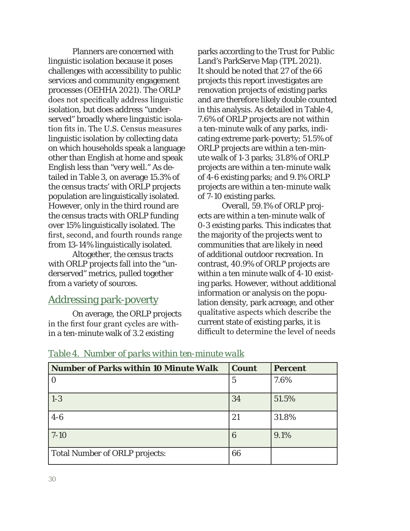Planners are concerned with linguistic isolation because it poses challenges with accessibility to public services and community engagement processes (OEHHA 2021). The ORLP does not specifically address linguistic isolation, but does address "underserved" broadly where linguistic isolation fits in. The U.S. Census measures linguistic isolation by collecting data on which households speak a language other than English at home and speak English less than "very well." As detailed in Table 3, on average 15.3% of the census tracts' with ORLP projects population are linguistically isolated. However, only in the third round are the census tracts with ORLP funding over 15% linguistically isolated. The first, second, and fourth rounds range from 13-14% linguistically isolated.

Altogether, the census tracts with ORLP projects fall into the "underserved" metrics, pulled together from a variety of sources.

#### Addressing park-poverty

On average, the ORLP projects in the first four grant cycles are within a ten-minute walk of 3.2 existing

parks according to the Trust for Public Land's ParkServe Map (TPL 2021). It should be noted that 27 of the 66 projects this report investigates are renovation projects of existing parks and are therefore likely double counted in this analysis. As detailed in Table 4, 7.6% of ORLP projects are not within a ten-minute walk of any parks, indicating extreme park-poverty; 51.5% of ORLP projects are within a ten-minute walk of 1-3 parks; 31.8% of ORLP projects are within a ten-minute walk of 4-6 existing parks; and 9.1% ORLP projects are within a ten-minute walk of 7-10 existing parks.

Overall, 59.1% of ORLP projects are within a ten-minute walk of 0-3 existing parks. This indicates that the majority of the projects went to communities that are likely in need of additional outdoor recreation. In contrast, 40.9% of ORLP projects are within a ten minute walk of 4-10 existing parks. However, without additional information or analysis on the population density, park acreage, and other qualitative aspects which describe the current state of existing parks, it is difficult to determine the level of needs

| Number of Parks within 10 Minute Walk | <b>Count</b>   | <b>Percent</b> |
|---------------------------------------|----------------|----------------|
|                                       | $\overline{5}$ | 7.6%           |
| $1-3$                                 | 34             | 51.5%          |
| $4-6$                                 | 21             | 31.8%          |
| $7-10$                                | 6              | 9.1%           |
| Total Number of ORLP projects:        | 66             |                |

*Table 4. Number of parks within ten-minute walk*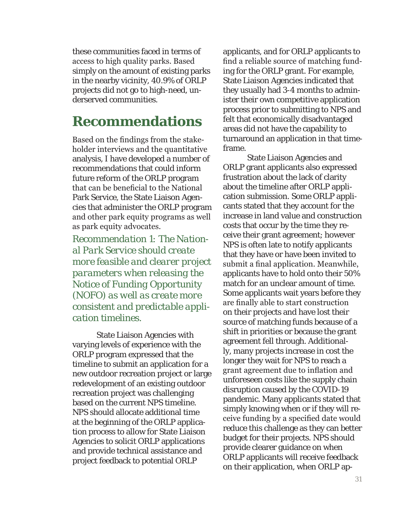these communities faced in terms of access to high quality parks. Based simply on the amount of existing parks in the nearby vicinity, 40.9% of ORLP projects did not go to high-need, underserved communities.

### **Recommendations**

Based on the findings from the stakeholder interviews and the quantitative analysis, I have developed a number of recommendations that could inform future reform of the ORLP program that can be beneficial to the National Park Service, the State Liaison Agencies that administer the ORLP program and other park equity programs as well as park equity advocates.

*Recommendation 1: The National Park Service should create more feasible and clearer project parameters when releasing the Notice of Funding Opportunity (NOFO) as well as create more consistent and predictable application timelines.* 

State Liaison Agencies with varying levels of experience with the ORLP program expressed that the timeline to submit an application for a new outdoor recreation project or large redevelopment of an existing outdoor recreation project was challenging based on the current NPS timeline. NPS should allocate additional time at the beginning of the ORLP application process to allow for State Liaison Agencies to solicit ORLP applications and provide technical assistance and project feedback to potential ORLP

applicants, and for ORLP applicants to find a reliable source of matching funding for the ORLP grant. For example, State Liaison Agencies indicated that they usually had 3-4 months to administer their own competitive application process prior to submitting to NPS and felt that economically disadvantaged areas did not have the capability to turnaround an application in that timeframe.

State Liaison Agencies and ORLP grant applicants also expressed frustration about the lack of clarity about the timeline after ORLP application submission. Some ORLP applicants stated that they account for the increase in land value and construction costs that occur by the time they receive their grant agreement; however NPS is often late to notify applicants that they have or have been invited to submit a final application. Meanwhile, applicants have to hold onto their 50% match for an unclear amount of time. Some applicants wait years before they are finally able to start construction on their projects and have lost their source of matching funds because of a shift in priorities or because the grant agreement fell through. Additionally, many projects increase in cost the longer they wait for NPS to reach a grant agreement due to inflation and unforeseen costs like the supply chain disruption caused by the COVID-19 pandemic. Many applicants stated that simply knowing when or if they will receive funding by a specified date would reduce this challenge as they can better budget for their projects. NPS should provide clearer guidance on when ORLP applicants will receive feedback on their application, when ORLP ap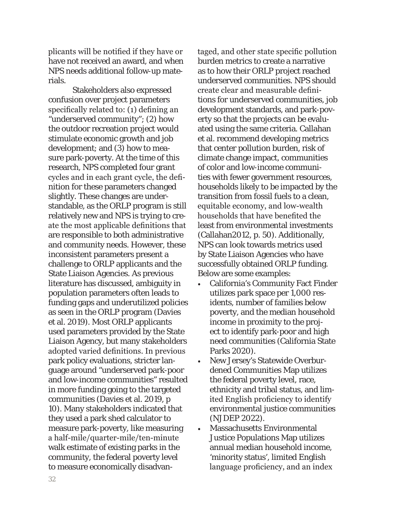plicants will be notified if they have or have not received an award, and when NPS needs additional follow-up materials.

Stakeholders also expressed confusion over project parameters specifically related to: (1) defining an "underserved community"; (2) how the outdoor recreation project would stimulate economic growth and job development; and (3) how to measure park-poverty. At the time of this research, NPS completed four grant cycles and in each grant cycle, the definition for these parameters changed slightly. These changes are understandable, as the ORLP program is still relatively new and NPS is trying to create the most applicable definitions that are responsible to both administrative and community needs. However, these inconsistent parameters present a challenge to ORLP applicants and the State Liaison Agencies. As previous literature has discussed, ambiguity in population parameters often leads to funding gaps and underutilized policies as seen in the ORLP program (Davies et al. 2019). Most ORLP applicants used parameters provided by the State Liaison Agency, but many stakeholders adopted varied definitions. In previous park policy evaluations, stricter language around "underserved park-poor and low-income communities" resulted in more funding going to the targeted communities (Davies et al. 2019, p 10). Many stakeholders indicated that they used a park shed calculator to measure park-poverty, like measuring a half-mile/quarter-mile/ten-minute walk estimate of existing parks in the community, the federal poverty level to measure economically disadvantaged, and other state specific pollution burden metrics to create a narrative as to how their ORLP project reached underserved communities. NPS should create clear and measurable definitions for underserved communities, job development standards, and park-poverty so that the projects can be evaluated using the same criteria. Callahan et al. recommend developing metrics that center pollution burden, risk of climate change impact, communities of color and low-income communities with fewer government resources, households likely to be impacted by the transition from fossil fuels to a clean, equitable economy, and low-wealth households that have benefited the least from environmental investments (Callahan2012, p. 50). Additionally, NPS can look towards metrics used by State Liaison Agencies who have successfully obtained ORLP funding. Below are some examples:

- California's Community Fact Finder utilizes park space per 1,000 residents, number of families below poverty, and the median household income in proximity to the project to identify park-poor and high need communities (California State Parks 2020).
- New Jersey's Statewide Overburdened Communities Map utilizes the federal poverty level, race, ethnicity and tribal status, and limited English proficiency to identify environmental justice communities (NJDEP 2022).
- Massachusetts Environmental Justice Populations Map utilizes annual median household income, 'minority status', limited English language proficiency, and an index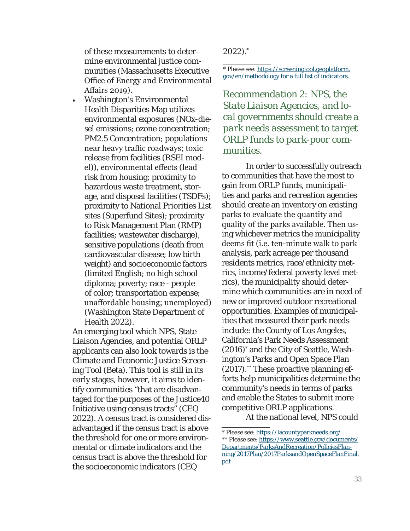of these measurements to determine environmental justice communities (Massachusetts Executive Office of Energy and Environmental Affairs 2019).

• Washington's Environmental Health Disparities Map utilizes environmental exposures (NOx-diesel emissions; ozone concentration; PM2.5 Concentration; populations near heavy traffic roadways; toxic release from facilities (RSEI model)), environmental effects (lead risk from housing; proximity to hazardous waste treatment, storage, and disposal facilities (TSDFs); proximity to National Priorities List sites (Superfund Sites); proximity to Risk Management Plan (RMP) facilities; wastewater discharge), sensitive populations (death from cardiovascular disease; low birth weight) and socioeconomic factors (limited English; no high school diploma; poverty; race - people of color; transportation expense; unaffordable housing; unemployed) (Washington State Department of Health 2022).

An emerging tool which NPS, State Liaison Agencies, and potential ORLP applicants can also look towards is the Climate and Economic Justice Screening Tool (Beta). This tool is still in its early stages, however, it aims to identify communities "that are disadvantaged for the purposes of the Justice40 Initiative using census tracts" (CEQ 2022). A census tract is considered disadvantaged if the census tract is above the threshold for one or more environmental or climate indicators and the census tract is above the threshold for the socioeconomic indicators (CEQ

#### 2022).\*

\* Please see: https://screeningtool.geoplatform. gov/en/methodology for a full list of indicators.

*Recommendation 2: NPS, the State Liaison Agencies, and local governments should create a park needs assessment to target ORLP funds to park-poor communities.*

In order to successfully outreach to communities that have the most to gain from ORLP funds, municipalities and parks and recreation agencies should create an inventory on existing parks to evaluate the quantity and quality of the parks available. Then using whichever metrics the municipality deems fit (i.e. ten-minute walk to park analysis, park acreage per thousand residents metrics, race/ethnicity metrics, income/federal poverty level metrics), the municipality should determine which communities are in need of new or improved outdoor recreational opportunities. Examples of municipalities that measured their park needs include: the County of Los Angeles, California's Park Needs Assessment (2016)\* and the City of Seattle, Washington's Parks and Open Space Plan (2017).\*\* These proactive planning efforts help municipalities determine the community's needs in terms of parks and enable the States to submit more competitive ORLP applications.

At the national level, NPS could

<sup>\*</sup> Please see: https://lacountyparkneeds.org/ \*\* Please see: https://www.seattle.gov/documents/

Departments/ParksAndRecreation/PoliciesPlanning/2017Plan/2017ParksandOpenSpacePlanFinal. pdf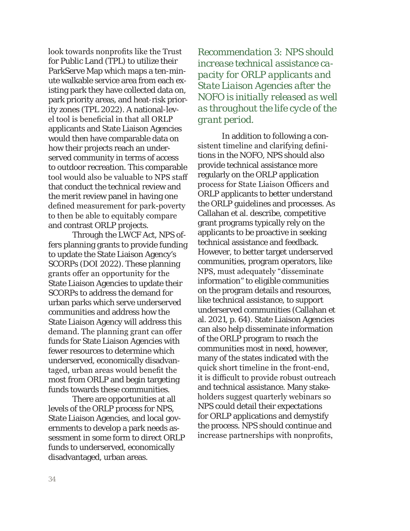look towards nonprofits like the Trust for Public Land (TPL) to utilize their ParkServe Map which maps a ten-minute walkable service area from each existing park they have collected data on, park priority areas, and heat-risk priority zones (TPL 2022). A national-level tool is beneficial in that all ORLP applicants and State Liaison Agencies would then have comparable data on how their projects reach an underserved community in terms of access to outdoor recreation. This comparable tool would also be valuable to NPS staff that conduct the technical review and the merit review panel in having one defined measurement for park-poverty to then be able to equitably compare and contrast ORLP projects.

Through the LWCF Act, NPS offers planning grants to provide funding to update the State Liaison Agency's SCORPs (DOI 2022). These planning grants offer an opportunity for the State Liaison Agencies to update their SCORPs to address the demand for urban parks which serve underserved communities and address how the State Liaison Agency will address this demand. The planning grant can offer funds for State Liaison Agencies with fewer resources to determine which underserved, economically disadvantaged, urban areas would benefit the most from ORLP and begin targeting funds towards these communities.

There are opportunities at all levels of the ORLP process for NPS, State Liaison Agencies, and local governments to develop a park needs assessment in some form to direct ORLP funds to underserved, economically disadvantaged, urban areas.

*Recommendation 3: NPS should increase technical assistance capacity for ORLP applicants and State Liaison Agencies after the NOFO is initially released as well as throughout the life cycle of the grant period.*

In addition to following a consistent timeline and clarifying definitions in the NOFO, NPS should also provide technical assistance more regularly on the ORLP application process for State Liaison Officers and ORLP applicants to better understand the ORLP guidelines and processes. As Callahan et al. describe, competitive grant programs typically rely on the applicants to be proactive in seeking technical assistance and feedback. However, to better target underserved communities, program operators, like NPS, must adequately "disseminate information" to eligible communities on the program details and resources, like technical assistance, to support underserved communities (Callahan et al. 2021, p. 64). State Liaison Agencies can also help disseminate information of the ORLP program to reach the communities most in need, however, many of the states indicated with the quick short timeline in the front-end, it is difficult to provide robust outreach and technical assistance. Many stakeholders suggest quarterly webinars so NPS could detail their expectations for ORLP applications and demystify the process. NPS should continue and increase partnerships with nonprofits,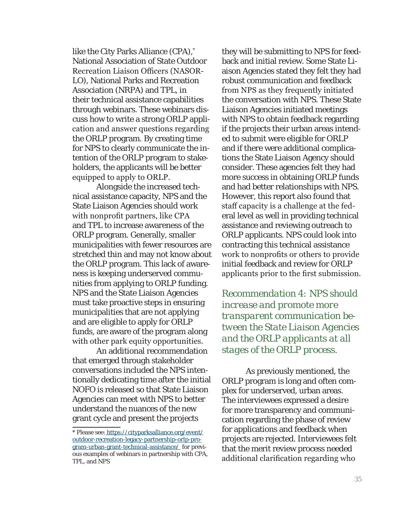like the City Parks Alliance (CPA),\* National Association of State Outdoor Recreation Liaison Officers (NASOR-LO), National Parks and Recreation Association (NRPA) and TPL, in their technical assistance capabilities through webinars. These webinars discuss how to write a strong ORLP application and answer questions regarding the ORLP program. By creating time for NPS to clearly communicate the intention of the ORLP program to stakeholders, the applicants will be better equipped to apply to ORLP.

Alongside the increased technical assistance capacity, NPS and the State Liaison Agencies should work with nonprofit partners, like CPA and TPL to increase awareness of the ORLP program. Generally, smaller municipalities with fewer resources are stretched thin and may not know about the ORLP program. This lack of awareness is keeping underserved communities from applying to ORLP funding. NPS and the State Liaison Agencies must take proactive steps in ensuring municipalities that are not applying and are eligible to apply for ORLP funds, are aware of the program along with other park equity opportunities.

An additional recommendation that emerged through stakeholder conversations included the NPS intentionally dedicating time after the initial NOFO is released so that State Liaison Agencies can meet with NPS to better understand the nuances of the new grant cycle and present the projects

they will be submitting to NPS for feedback and initial review. Some State Liaison Agencies stated they felt they had robust communication and feedback from NPS as they frequently initiated the conversation with NPS. These State Liaison Agencies initiated meetings with NPS to obtain feedback regarding if the projects their urban areas intended to submit were eligible for ORLP and if there were additional complications the State Liaison Agency should consider. These agencies felt they had more success in obtaining ORLP funds and had better relationships with NPS. However, this report also found that staff capacity is a challenge at the federal level as well in providing technical assistance and reviewing outreach to ORLP applicants. NPS could look into contracting this technical assistance work to nonprofits or others to provide initial feedback and review for ORLP applicants prior to the first submission.

*Recommendation 4: NPS should increase and promote more transparent communication between the State Liaison Agencies and the ORLP applicants at all stages of the ORLP process.*

As previously mentioned, the ORLP program is long and often complex for underserved, urban areas. The interviewees expressed a desire for more transparency and communication regarding the phase of review for applications and feedback when projects are rejected. Interviewees felt that the merit review process needed additional clarification regarding who

<sup>\*</sup> Please see: https://cityparksalliance.org/event/ outdoor-recreation-legacy-partnership-orlp-program-urban-grant-technical-assistance/ for previous examples of webinars in partnership with CPA, TPL, and NPS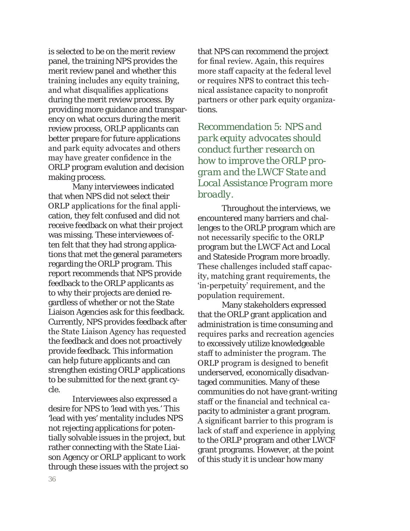is selected to be on the merit review panel, the training NPS provides the merit review panel and whether this training includes any equity training, and what disqualifies applications during the merit review process. By providing more guidance and transparency on what occurs during the merit review process, ORLP applicants can better prepare for future applications and park equity advocates and others may have greater confidence in the ORLP program evalution and decision making process.

Many interviewees indicated that when NPS did not select their ORLP applications for the final application, they felt confused and did not receive feedback on what their project was missing. These interviewees often felt that they had strong applications that met the general parameters regarding the ORLP program. This report recommends that NPS provide feedback to the ORLP applicants as to why their projects are denied regardless of whether or not the State Liaison Agencies ask for this feedback. Currently, NPS provides feedback after the State Liaison Agency has requested the feedback and does not proactively provide feedback. This information can help future applicants and can strengthen existing ORLP applications to be submitted for the next grant cycle.

Interviewees also expressed a desire for NPS to 'lead with yes.' This 'lead with yes' mentality includes NPS not rejecting applications for potentially solvable issues in the project, but rather connecting with the State Liaison Agency or ORLP applicant to work through these issues with the project so

that NPS can recommend the project for final review. Again, this requires more staff capacity at the federal level or requires NPS to contract this technical assistance capacity to nonprofit partners or other park equity organizations.

*Recommendation 5: NPS and park equity advocates should conduct further research on how to improve the ORLP program and the LWCF State and Local Assistance Program more broadly.*

Throughout the interviews, we encountered many barriers and challenges to the ORLP program which are not necessarily specific to the ORLP program but the LWCF Act and Local and Stateside Program more broadly. These challenges included staff capacity, matching grant requirements, the 'in-perpetuity' requirement, and the population requirement.

Many stakeholders expressed that the ORLP grant application and administration is time consuming and requires parks and recreation agencies to excessively utilize knowledgeable staff to administer the program. The ORLP program is designed to benefit underserved, economically disadvantaged communities. Many of these communities do not have grant-writing staff or the financial and technical capacity to administer a grant program. A significant barrier to this program is lack of staff and experience in applying to the ORLP program and other LWCF grant programs. However, at the point of this study it is unclear how many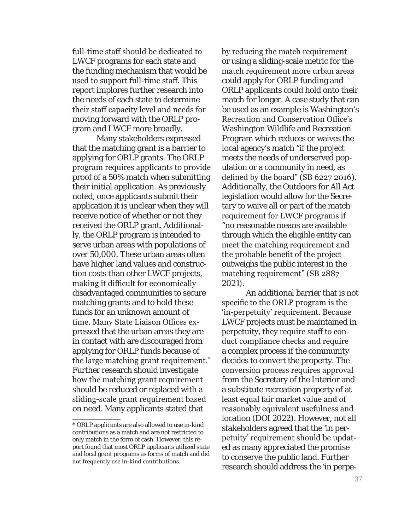full-time staff should be dedicated to LWCF programs for each state and the funding mechanism that would be used to support full-time staff. This report implores further research into the needs of each state to determine their staff capacity level and needs for moving forward with the ORLP program and LWCF more broadly.

Many stakeholders expressed that the matching grant is a barrier to applying for ORLP grants. The ORLP program requires applicants to provide proof of a 50% match when submitting their initial application. As previously noted, once applicants submit their application it is unclear when they will receive notice of whether or not they received the ORLP grant. Additionally, the ORLP program is intended to serve urban areas with populations of over 50,000. These urban areas often have higher land values and construction costs than other LWCF projects, making it difficult for economically disadvantaged communities to secure matching grants and to hold these funds for an unknown amount of time. Many State Liaison Offices expressed that the urban areas they are in contact with are discouraged from applying for ORLP funds because of the large matching grant requirement.<sup>\*</sup> Further research should investigate how the matching grant requirement should be reduced or replaced with a sliding-scale grant requirement based on need. Many applicants stated that

by reducing the match requirement or using a sliding-scale metric for the match requirement more urban areas could apply for ORLP funding and ORLP applicants could hold onto their match for longer. A case study that can be used as an example is Washington's Recreation and Conservation Office's Washington Wildlife and Recreation Program which reduces or waives the local agency's match "if the project meets the needs of underserved population or a community in need, as defined by the board" (SB 6227 2016). Additionally, the Outdoors for All Act legislation would allow for the Secretary to waive all or part of the match requirement for LWCF programs if "no reasonable means are available through which the eligible entity can meet the matching requirement and the probable benefit of the project outweighs the public interest in the matching requirement" (SB 2887 2021).

An additional barrier that is not specific to the ORLP program is the 'in-perpetuity' requirement. Because LWCF projects must be maintained in perpetuity, they require staff to conduct compliance checks and require a complex process if the community decides to convert the property. The conversion process requires approval from the Secretary of the Interior and a substitute recreation property of at least equal fair market value and of reasonably equivalent usefulness and location (DOI 2022). However, not all stakeholders agreed that the 'in perpetuity' requirement should be updated as many appreciated the promise to conserve the public land. Further research should address the 'in perpe-

<sup>\*</sup> ORLP applicants are also allowed to use in-kind contributions as a match and are not restricted to only match in the form of cash. However, this report found that most ORLP applicants utilized state and local grant programs as forms of match and did not frequently use in-kind contributions.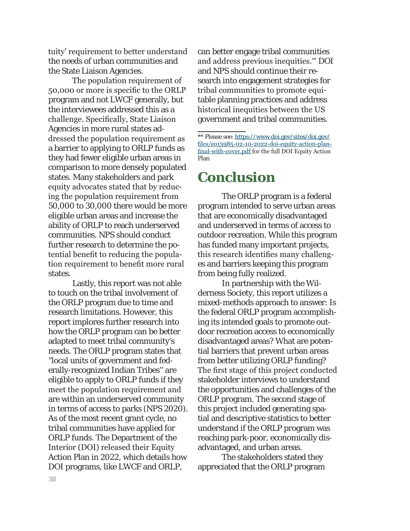tuity' requirement to better understand the needs of urban communities and the State Liaison Agencies.

The population requirement of 50,000 or more is specific to the ORLP program and not LWCF generally, but the interviewees addressed this as a challenge. Specifically, State Liaison Agencies in more rural states addressed the population requirement as a barrier to applying to ORLP funds as they had fewer eligible urban areas in comparison to more densely populated states. Many stakeholders and park equity advocates stated that by reducing the population requirement from 50,000 to 30,000 there would be more eligible urban areas and increase the ability of ORLP to reach underserved communities. NPS should conduct further research to determine the potential benefit to reducing the population requirement to benefit more rural states.

Lastly, this report was not able to touch on the tribal involvement of the ORLP program due to time and research limitations. However, this report implores further research into how the ORLP program can be better adapted to meet tribal community's needs. The ORLP program states that "local units of government and federally-recognized Indian Tribes'' are eligible to apply to ORLP funds if they meet the population requirement and are within an underserved community in terms of access to parks (NPS 2020). As of the most recent grant cycle, no tribal communities have applied for ORLP funds. The Department of the Interior (DOI) released their Equity Action Plan in 2022, which details how DOI programs, like LWCF and ORLP,

can better engage tribal communities and address previous inequities.\*\* DOI and NPS should continue their research into engagement strategies for tribal communities to promote equitable planning practices and address historical inequities between the US government and tribal communities.

### **Conclusion**

The ORLP program is a federal program intended to serve urban areas that are economically disadvantaged and underserved in terms of access to outdoor recreation. While this program has funded many important projects, this research identifies many challenges and barriers keeping this program from being fully realized.

In partnership with the Wilderness Society, this report utilizes a mixed-methods approach to answer: Is the federal ORLP program accomplishing its intended goals to promote outdoor recreation access to economically disadvantaged areas? What are potential barriers that prevent urban areas from better utilizing ORLP funding? The first stage of this project conducted stakeholder interviews to understand the opportunities and challenges of the ORLP program. The second stage of this project included generating spatial and descriptive statistics to better understand if the ORLP program was reaching park-poor, economically disadvantaged, and urban areas.

The stakeholders stated they appreciated that the ORLP program

<sup>\*\*</sup> Please see: https://www.doi.gov/sites/doi.gov/ files/eo13985-02-10-2022-doi-equity-action-planfinal-with-cover.pdf for the full DOI Equity Action Plan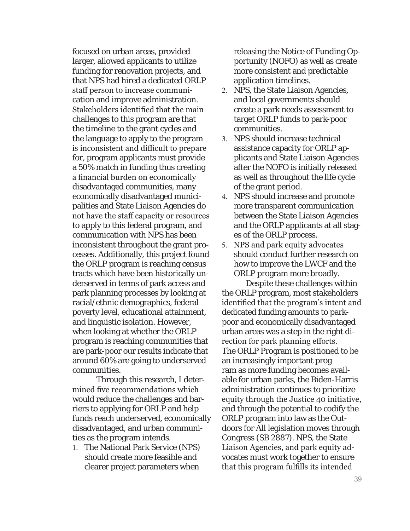focused on urban areas, provided larger, allowed applicants to utilize funding for renovation projects, and that NPS had hired a dedicated ORLP staff person to increase communication and improve administration. Stakeholders identified that the main challenges to this program are that the timeline to the grant cycles and the language to apply to the program is inconsistent and difficult to prepare for, program applicants must provide a 50% match in funding thus creating a financial burden on economically disadvantaged communities, many economically disadvantaged municipalities and State Liaison Agencies do not have the staff capacity or resources to apply to this federal program, and communication with NPS has been inconsistent throughout the grant processes. Additionally, this project found the ORLP program is reaching census tracts which have been historically underserved in terms of park access and park planning processes by looking at racial/ethnic demographics, federal poverty level, educational attainment, and linguistic isolation. However, when looking at whether the ORLP program is reaching communities that are park-poor our results indicate that around 60% are going to underserved communities.

Through this research, I determined five recommendations which would reduce the challenges and barriers to applying for ORLP and help funds reach underserved, economically disadvantaged, and urban communities as the program intends.

1. The National Park Service (NPS) should create more feasible and clearer project parameters when

releasing the Notice of Funding Opportunity (NOFO) as well as create more consistent and predictable application timelines.

- 2. NPS, the State Liaison Agencies, and local governments should create a park needs assessment to target ORLP funds to park-poor communities.
- 3. NPS should increase technical assistance capacity for ORLP applicants and State Liaison Agencies after the NOFO is initially released as well as throughout the life cycle of the grant period.
- 4. NPS should increase and promote more transparent communication between the State Liaison Agencies and the ORLP applicants at all stages of the ORLP process.
- 5. NPS and park equity advocates should conduct further research on how to improve the LWCF and the ORLP program more broadly.

Despite these challenges within the ORLP program, most stakeholders identified that the program's intent and dedicated funding amounts to parkpoor and economically disadvantaged urban areas was a step in the right direction for park planning efforts. The ORLP Program is positioned to be an increasingly important prog ram as more funding becomes available for urban parks, the Biden-Harris administration continues to prioritize equity through the Justice 40 initiative, and through the potential to codify the ORLP program into law as the Outdoors for All legislation moves through Congress (SB 2887). NPS, the State Liaison Agencies, and park equity advocates must work together to ensure that this program fulfills its intended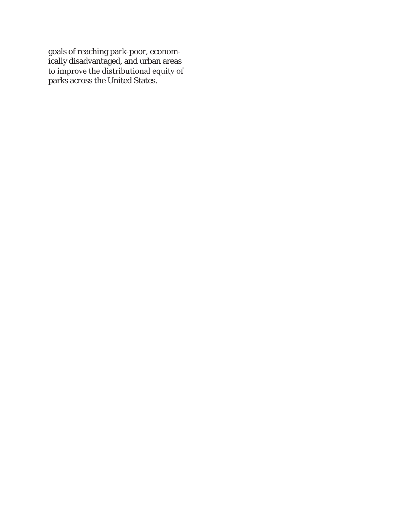goals of reaching park-poor, economically disadvantaged, and urban areas to improve the distributional equity of parks across the United States.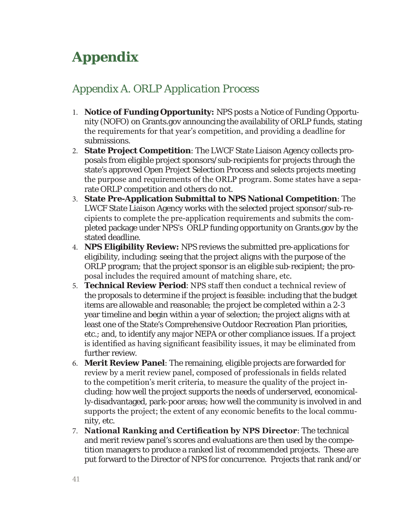## **Appendix**

#### *Appendix A. ORLP Application Process*

- 1. **Notice of Funding Opportunity:** NPS posts a Notice of Funding Opportunity (NOFO) on Grants.gov announcing the availability of ORLP funds, stating the requirements for that year's competition, and providing a deadline for submissions.
- 2. **State Project Competition**: The LWCF State Liaison Agency collects proposals from eligible project sponsors/sub-recipients for projects through the state's approved Open Project Selection Process and selects projects meeting the purpose and requirements of the ORLP program. Some states have a separate ORLP competition and others do not.
- 3. **State Pre-Application Submittal to NPS National Competition**: The LWCF State Liaison Agency works with the selected project sponsor/sub-recipients to complete the pre-application requirements and submits the completed package under NPS's ORLP funding opportunity on Grants.gov by the stated deadline.
- 4. **NPS Eligibility Review:** NPS reviews the submitted pre-applications for eligibility, including: seeing that the project aligns with the purpose of the ORLP program; that the project sponsor is an eligible sub-recipient; the proposal includes the required amount of matching share, etc.
- 5. **Technical Review Period**: NPS staff then conduct a technical review of the proposals to determine if the project is feasible: including that the budget items are allowable and reasonable; the project be completed within a 2-3 year timeline and begin within a year of selection; the project aligns with at least one of the State's Comprehensive Outdoor Recreation Plan priorities, etc.; and, to identify any major NEPA or other compliance issues. If a project is identified as having significant feasibility issues, it may be eliminated from further review.
- 6. **Merit Review Panel**: The remaining, eligible projects are forwarded for review by a merit review panel, composed of professionals in fields related to the competition's merit criteria, to measure the quality of the project including: how well the project supports the needs of underserved, economically-disadvantaged, park-poor areas; how well the community is involved in and supports the project; the extent of any economic benefits to the local community, etc.
- 7. **National Ranking and Certification by NPS Director**: The technical and merit review panel's scores and evaluations are then used by the competition managers to produce a ranked list of recommended projects. These are put forward to the Director of NPS for concurrence. Projects that rank and/or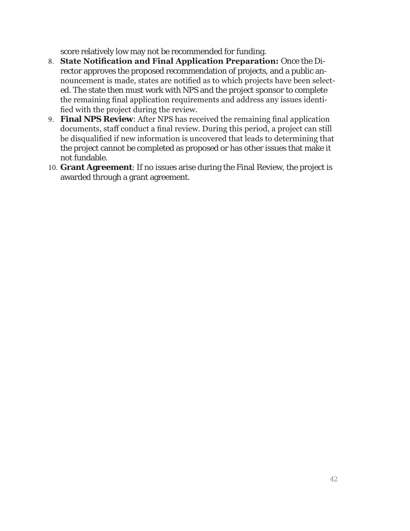score relatively low may not be recommended for funding.

- 8. **State Notification and Final Application Preparation:** Once the Director approves the proposed recommendation of projects, and a public announcement is made, states are notified as to which projects have been selected. The state then must work with NPS and the project sponsor to complete the remaining final application requirements and address any issues identified with the project during the review.
- 9. **Final NPS Review**: After NPS has received the remaining final application documents, staff conduct a final review. During this period, a project can still be disqualified if new information is uncovered that leads to determining that the project cannot be completed as proposed or has other issues that make it not fundable.
- 10. **Grant Agreement**: If no issues arise during the Final Review, the project is awarded through a grant agreement.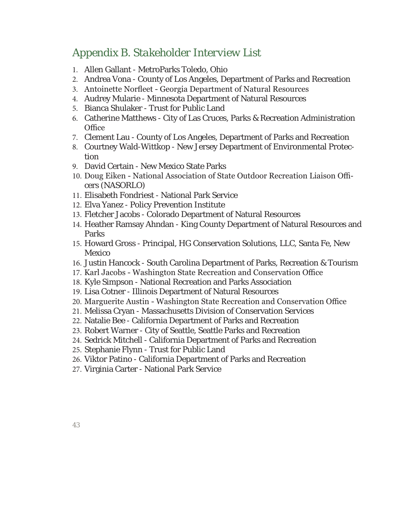#### *Appendix B. Stakeholder Interview List*

- 1. Allen Gallant MetroParks Toledo, Ohio
- 2. Andrea Vona County of Los Angeles, Department of Parks and Recreation
- 3. Antoinette Norfleet Georgia Department of Natural Resources
- 4. Audrey Mularie Minnesota Department of Natural Resources
- 5. Bianca Shulaker Trust for Public Land
- 6. Catherine Matthews City of Las Cruces, Parks & Recreation Administration **Office**
- 7. Clement Lau County of Los Angeles, Department of Parks and Recreation
- 8. Courtney Wald-Wittkop New Jersey Department of Environmental Protection
- 9. David Certain New Mexico State Parks
- 10. Doug Eiken National Association of State Outdoor Recreation Liaison Officers (NASORLO)
- 11. Elisabeth Fondriest National Park Service
- 12. Elva Yanez Policy Prevention Institute
- 13. Fletcher Jacobs Colorado Department of Natural Resources
- 14. Heather Ramsay Ahndan King County Department of Natural Resources and Parks
- 15. Howard Gross Principal, HG Conservation Solutions, LLC, Santa Fe, New Mexico
- 16. Justin Hancock South Carolina Department of Parks, Recreation & Tourism
- 17. Karl Jacobs Washington State Recreation and Conservation Office
- 18. Kyle Simpson National Recreation and Parks Association
- 19. Lisa Cotner Illinois Department of Natural Resources
- 20. Marguerite Austin Washington State Recreation and Conservation Office
- 21. Melissa Cryan Massachusetts Division of Conservation Services
- 22. Natalie Bee California Department of Parks and Recreation
- 23. Robert Warner City of Seattle, Seattle Parks and Recreation
- 24. Sedrick Mitchell California Department of Parks and Recreation
- 25. Stephanie Flynn Trust for Public Land
- 26. Viktor Patino California Department of Parks and Recreation
- 27. Virginia Carter National Park Service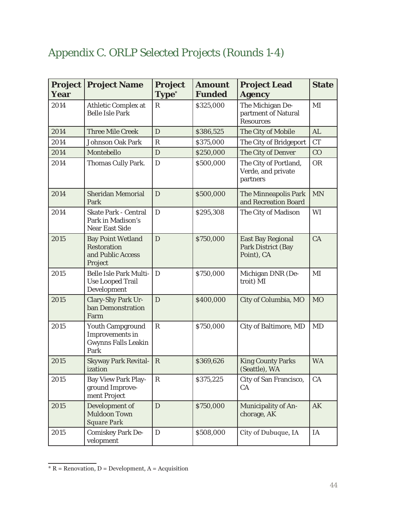### *Appendix C. ORLP Selected Projects (Rounds 1-4)*

| <b>Project</b><br>Year | <b>Project Name</b>                                                              | <b>Project</b><br>Type <sup>*</sup> | <b>Amount</b><br><b>Funded</b> | <b>Project Lead</b><br><b>Agency</b>                                | <b>State</b> |
|------------------------|----------------------------------------------------------------------------------|-------------------------------------|--------------------------------|---------------------------------------------------------------------|--------------|
| 2014                   | <b>Athletic Complex at</b><br><b>Belle Isle Park</b>                             | $\mathbb{R}$                        | \$325,000                      | The Michigan De-<br>partment of Natural<br><b>Resources</b>         | MI           |
| 2014                   | <b>Three Mile Creek</b>                                                          | $\mathbf D$                         | \$386,525                      | The City of Mobile                                                  | AL           |
| 2014                   | <b>Johnson Oak Park</b>                                                          | $\mathbb R$                         | \$375,000                      | The City of Bridgeport                                              | CT           |
| 2014                   | Montebello                                                                       | $\mathbf D$                         | \$250,000                      | The City of Denver                                                  | CO           |
| 2014                   | Thomas Cully Park.                                                               | $\mathbf D$                         | \$500,000                      | The City of Portland,<br>Verde, and private<br>partners             | <b>OR</b>    |
| 2014                   | <b>Sheridan Memorial</b><br>Park                                                 | D                                   | \$500,000                      | <b>The Minneapolis Park</b><br>and Recreation Board                 | <b>MN</b>    |
| 2014                   | <b>Skate Park - Central</b><br>Park in Madison's<br><b>Near East Side</b>        | $\mathbf D$                         | \$295,308                      | The City of Madison                                                 | WI           |
| 2015                   | <b>Bay Point Wetland</b><br><b>Restoration</b><br>and Public Access<br>Project   | D                                   | \$750,000                      | <b>East Bay Regional</b><br><b>Park District (Bay</b><br>Point), CA | CA           |
| 2015                   | <b>Belle Isle Park Multi-</b><br><b>Use Looped Trail</b><br>Development          | D                                   | \$750,000                      | Michigan DNR (De-<br>troit) MI                                      | MI           |
| 2015                   | Clary-Shy Park Ur-<br>ban Demonstration<br>Farm                                  | D                                   | \$400,000                      | City of Columbia, MO                                                | <b>MO</b>    |
| 2015                   | <b>Youth Campground</b><br>Improvements in<br><b>Gwynns Falls Leakin</b><br>Park | $\mathbb{R}$                        | \$750,000                      | <b>City of Baltimore, MD</b>                                        | <b>MD</b>    |
| 2015                   | <b>Skyway Park Revital-</b><br>ization                                           | $\mathbb R$                         | \$369,626                      | <b>King County Parks</b><br>(Seattle), WA                           | <b>WA</b>    |
| 2015                   | <b>Bay View Park Play-</b><br>ground Improve-<br>ment Project                    | ${\bf R}$                           | \$375,225                      | City of San Francisco,<br>CA                                        | CA           |
| 2015                   | Development of<br><b>Muldoon Town</b><br><b>Square Park</b>                      | $\mathbf D$                         | \$750,000                      | <b>Municipality of An-</b><br>chorage, AK                           | AK           |
| 2015                   | <b>Comiskey Park De-</b><br>velopment                                            | D                                   | \$508,000                      | City of Dubuque, IA                                                 | IA           |

 $*$  R = Renovation, D = Development, A = Acquisition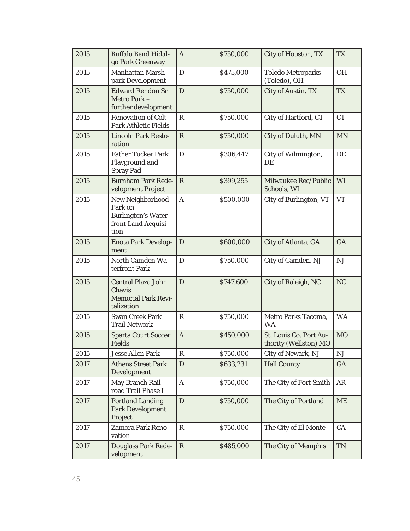| 2015 | <b>Buffalo Bend Hidal-</b><br>go Park Greenway                                           | $\mathbf{A}$ | \$750,000 | <b>City of Houston, TX</b>                      | <b>TX</b> |
|------|------------------------------------------------------------------------------------------|--------------|-----------|-------------------------------------------------|-----------|
| 2015 | <b>Manhattan Marsh</b><br>park Development                                               | D            | \$475,000 | <b>Toledo Metroparks</b><br>(Toledo), OH        | <b>OH</b> |
| 2015 | <b>Edward Rendon Sr</b><br>Metro Park -<br>further development                           | D            | \$750,000 | <b>City of Austin, TX</b>                       | <b>TX</b> |
| 2015 | <b>Renovation of Colt</b><br><b>Park Athletic Fields</b>                                 | $\mathbb{R}$ | \$750,000 | City of Hartford, CT                            | <b>CT</b> |
| 2015 | <b>Lincoln Park Resto-</b><br>ration                                                     | $\mathbb{R}$ | \$750,000 | <b>City of Duluth, MN</b>                       | <b>MN</b> |
| 2015 | <b>Father Tucker Park</b><br>Playground and<br><b>Spray Pad</b>                          | D            | \$306,447 | City of Wilmington,<br>DE                       | DE        |
| 2015 | <b>Burnham Park Rede-</b><br>velopment Project                                           | $\mathbb R$  | \$399,255 | Milwaukee Rec/Public<br>Schools, WI             | <b>WI</b> |
| 2015 | New Neighborhood<br>Park on<br><b>Burlington's Water-</b><br>front Land Acquisi-<br>tion | $\mathbf{A}$ | \$500,000 | City of Burlington, VT                          | <b>VT</b> |
| 2015 | <b>Enota Park Develop-</b><br>ment                                                       | D            | \$600,000 | City of Atlanta, GA                             | GA        |
| 2015 | North Camden Wa-<br>terfront Park                                                        | D            | \$750,000 | City of Camden, NJ                              | <b>NJ</b> |
| 2015 | <b>Central Plaza John</b><br><b>Chavis</b><br><b>Memorial Park Revi-</b><br>talization   | D            | \$747,600 | <b>City of Raleigh, NC</b>                      | <b>NC</b> |
| 2015 | <b>Swan Creek Park</b><br><b>Trail Network</b>                                           | $\mathbb R$  | \$750,000 | Metro Parks Tacoma,<br><b>WA</b>                | <b>WA</b> |
| 2015 | <b>Sparta Court Soccer</b><br><b>Fields</b>                                              | $\mathbf{A}$ | \$450,000 | St. Louis Co. Port Au-<br>thority (Wellston) MO | <b>MO</b> |
| 2015 | <b>Jesse Allen Park</b>                                                                  | $\mathbf R$  | \$750,000 | City of Newark, NJ                              | NJ        |
| 2017 | <b>Athens Street Park</b><br>Development                                                 | D            | \$633,231 | <b>Hall County</b>                              | GA        |
| 2017 | May Branch Rail-<br>road Trail Phase I                                                   | A            | \$750,000 | The City of Fort Smith                          | $\rm{AR}$ |
| 2017 | <b>Portland Landing</b><br><b>Park Development</b><br>Project                            | $\mathbf D$  | \$750,000 | The City of Portland                            | <b>ME</b> |
| 2017 | <b>Zamora Park Reno-</b><br>vation                                                       | $\mathbb R$  | \$750,000 | The City of El Monte                            | CA        |
| 2017 | Douglass Park Rede-<br>velopment                                                         | ${\bf R}$    | \$485,000 | The City of Memphis                             | <b>TN</b> |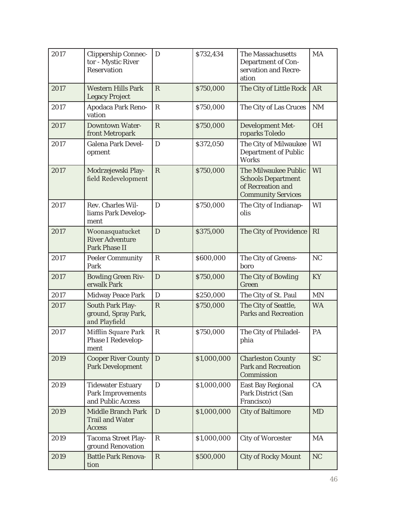| 2017 | <b>Clippership Connec-</b><br>tor - Mystic River<br><b>Reservation</b>    | D            | \$732,434   | <b>The Massachusetts</b><br><b>Department of Con-</b><br>servation and Recre-<br>ation                     | <b>MA</b>      |
|------|---------------------------------------------------------------------------|--------------|-------------|------------------------------------------------------------------------------------------------------------|----------------|
| 2017 | <b>Western Hills Park</b><br><b>Legacy Project</b>                        | $\mathbb{R}$ | \$750,000   | The City of Little Rock                                                                                    | AR             |
| 2017 | Apodaca Park Reno-<br>vation                                              | $\mathbb R$  | \$750,000   | The City of Las Cruces                                                                                     | <b>NM</b>      |
| 2017 | <b>Downtown Water-</b><br>front Metropark                                 | $\mathbb{R}$ | \$750,000   | <b>Development Met-</b><br>roparks Toledo                                                                  | <b>OH</b>      |
| 2017 | <b>Galena Park Devel-</b><br>opment                                       | $\mathbf D$  | \$372,050   | The City of Milwaukee<br><b>Department of Public</b><br><b>Works</b>                                       | WI             |
| 2017 | Modrzejewski Play-<br>field Redevelopment                                 | $\mathbf R$  | \$750,000   | <b>The Milwaukee Public</b><br><b>Schools Department</b><br>of Recreation and<br><b>Community Services</b> | <b>WI</b>      |
| 2017 | Rev. Charles Wil-<br>liams Park Develop-<br>ment                          | D            | \$750,000   | The City of Indianap-<br>olis                                                                              | WI             |
| 2017 | Woonasquatucket<br><b>River Adventure</b><br><b>Park Phase II</b>         | $\mathbf D$  | \$375,000   | <b>The City of Providence</b>                                                                              | RI             |
| 2017 | <b>Peeler Community</b><br>Park                                           | $\mathbb R$  | \$600,000   | The City of Greens-<br>boro                                                                                | N <sub>C</sub> |
| 2017 | <b>Bowling Green Riv-</b><br>erwalk Park                                  | $\mathbf D$  | \$750,000   | The City of Bowling<br>Green                                                                               | <b>KY</b>      |
| 2017 | <b>Midway Peace Park</b>                                                  | D            | \$250,000   | The City of St. Paul                                                                                       | <b>MN</b>      |
| 2017 | <b>South Park Play-</b><br>ground, Spray Park,<br>and Playfield           | ${\bf R}$    | \$750,000   | The City of Seattle,<br><b>Parks and Recreation</b>                                                        | <b>WA</b>      |
| 2017 | Mifflin Square Park<br>Phase I Redevelop-<br>ment                         | ${\bf R}$    | \$750,000   | The City of Philadel-<br>phia                                                                              | PA             |
| 2019 | <b>Cooper River County</b><br><b>Park Development</b>                     | D            | \$1,000,000 | <b>Charleston County</b><br><b>Park and Recreation</b><br>Commission                                       | <b>SC</b>      |
| 2019 | <b>Tidewater Estuary</b><br><b>Park Improvements</b><br>and Public Access | $\mathbf D$  | \$1,000,000 | <b>East Bay Regional</b><br>Park District (San<br>Francisco)                                               | CA             |
| 2019 | <b>Middle Branch Park</b><br><b>Trail and Water</b><br><b>Access</b>      | $\mathbf D$  | \$1,000,000 | <b>City of Baltimore</b>                                                                                   | <b>MD</b>      |
| 2019 | <b>Tacoma Street Play-</b><br>ground Renovation                           | $\mathbb{R}$ | \$1,000,000 | <b>City of Worcester</b>                                                                                   | MA             |
| 2019 | <b>Battle Park Renova-</b><br>tion                                        | ${\bf R}$    | \$500,000   | <b>City of Rocky Mount</b>                                                                                 | N <sub>C</sub> |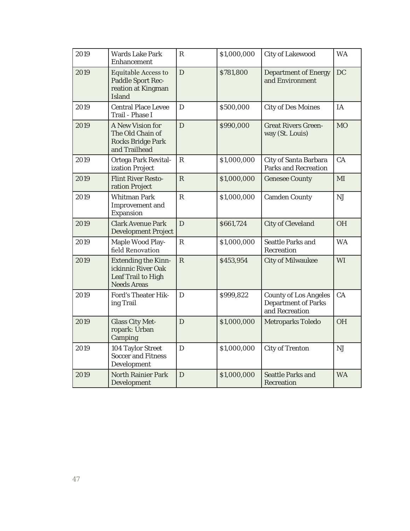| 2019 | <b>Wards Lake Park</b><br>Enhancement                                                               | R            | \$1,000,000 | <b>City of Lakewood</b>                                                      | <b>WA</b> |
|------|-----------------------------------------------------------------------------------------------------|--------------|-------------|------------------------------------------------------------------------------|-----------|
| 2019 | <b>Equitable Access to</b><br>Paddle Sport Rec-<br>reation at Kingman<br><b>Island</b>              | D            | \$781,800   | <b>Department of Energy</b><br>and Environment                               | <b>DC</b> |
| 2019 | <b>Central Place Levee</b><br>Trail - Phase I                                                       | D            | \$500,000   | <b>City of Des Moines</b>                                                    | <b>IA</b> |
| 2019 | A New Vision for<br>The Old Chain of<br><b>Rocks Bridge Park</b><br>and Trailhead                   | D            | \$990,000   | <b>Great Rivers Green-</b><br>way (St. Louis)                                | <b>MO</b> |
| 2019 | Ortega Park Revital-<br>ization Project                                                             | $\mathbb{R}$ | \$1,000,000 | <b>City of Santa Barbara</b><br><b>Parks and Recreation</b>                  | CA        |
| 2019 | <b>Flint River Resto-</b><br>ration Project                                                         | $\mathbb{R}$ | \$1,000,000 | <b>Genesee County</b>                                                        | MI        |
| 2019 | <b>Whitman Park</b><br><b>Improvement</b> and<br>Expansion                                          | $\mathbb{R}$ | \$1,000,000 | <b>Camden County</b>                                                         | <b>NJ</b> |
| 2019 | <b>Clark Avenue Park</b><br><b>Development Project</b>                                              | D            | \$661,724   | <b>City of Cleveland</b>                                                     | <b>OH</b> |
| 2019 | Maple Wood Play-<br>field Renovation                                                                | R            | \$1,000,000 | <b>Seattle Parks and</b><br><b>Recreation</b>                                | <b>WA</b> |
| 2019 | <b>Extending the Kinn-</b><br>ickinnic River Oak<br><b>Leaf Trail to High</b><br><b>Needs Areas</b> | $\mathbf R$  | \$453,954   | <b>City of Milwaukee</b>                                                     | <b>WI</b> |
| 2019 | <b>Ford's Theater Hik-</b><br>ing Trail                                                             | D            | \$999,822   | <b>County of Los Angeles</b><br><b>Department of Parks</b><br>and Recreation | CA        |
| 2019 | <b>Glass City Met-</b><br>ropark: Urban<br>Camping                                                  | D            | \$1,000,000 | <b>Metroparks Toledo</b>                                                     | <b>OH</b> |
| 2019 | 104 Taylor Street<br><b>Soccer and Fitness</b><br>Development                                       | D            | \$1,000,000 | <b>City of Trenton</b>                                                       | <b>NJ</b> |
| 2019 | <b>North Rainier Park</b><br>Development                                                            | D            | \$1,000,000 | <b>Seattle Parks and</b><br>Recreation                                       | <b>WA</b> |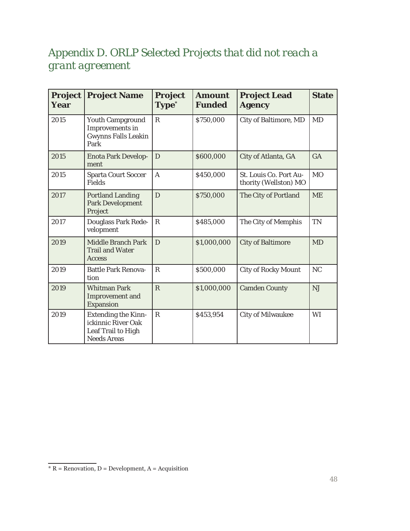### *Appendix D. ORLP Selected Projects that did not reach a grant agreement*

| <b>Project</b><br>Year | <b>Project Name</b>                                                                          | <b>Project</b><br>Type <sup>*</sup> | <b>Amount</b><br><b>Funded</b> | <b>Project Lead</b><br><b>Agency</b>            | <b>State</b>   |
|------------------------|----------------------------------------------------------------------------------------------|-------------------------------------|--------------------------------|-------------------------------------------------|----------------|
| 2015                   | <b>Youth Campground</b><br>Improvements in<br><b>Gwynns Falls Leakin</b><br>Park             | $\mathbb{R}$                        | \$750,000                      | <b>City of Baltimore, MD</b>                    | <b>MD</b>      |
| 2015                   | <b>Enota Park Develop-</b><br>ment                                                           | D                                   | \$600,000                      | City of Atlanta, GA                             | GA             |
| 2015                   | <b>Sparta Court Soccer</b><br><b>Fields</b>                                                  | $\mathbf{A}$                        | \$450,000                      | St. Louis Co. Port Au-<br>thority (Wellston) MO | M <sub>O</sub> |
| 2017                   | <b>Portland Landing</b><br><b>Park Development</b><br>Project                                | D                                   | \$750,000                      | The City of Portland                            | <b>ME</b>      |
| 2017                   | <b>Douglass Park Rede-</b><br>velopment                                                      | $\mathbb{R}$                        | \$485,000                      | The City of Memphis                             | <b>TN</b>      |
| 2019                   | <b>Middle Branch Park</b><br><b>Trail and Water</b><br><b>Access</b>                         | D                                   | \$1,000,000                    | <b>City of Baltimore</b>                        | <b>MD</b>      |
| 2019                   | <b>Battle Park Renova-</b><br>tion                                                           | $\mathbb{R}$                        | \$500,000                      | <b>City of Rocky Mount</b>                      | <b>NC</b>      |
| 2019                   | <b>Whitman Park</b><br><b>Improvement</b> and<br><b>Expansion</b>                            | $\mathbb{R}$                        | \$1,000,000                    | <b>Camden County</b>                            | $N_{\rm J}$    |
| 2019                   | <b>Extending the Kinn-</b><br>ickinnic River Oak<br>Leaf Trail to High<br><b>Needs Areas</b> | $\mathbb{R}$                        | \$453,954                      | <b>City of Milwaukee</b>                        | WI             |

 $*$  R = Renovation, D = Development, A = Acquisition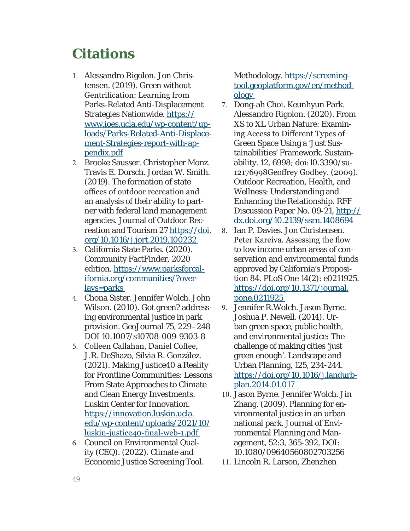### **Citations**

- 1. Alessandro Rigolon. Jon Christensen. (2019). Green without Gentrification: Learning from Parks-Related Anti-Displacement Strategies Nationwide. https:// www.ioes.ucla.edu/wp-content/uploads/Parks-Related-Anti-Displacement-Strategies-report-with-appendix.pdf
- 2. Brooke Sausser. Christopher Monz. Travis E. Dorsch. Jordan W. Smith. (2019). The formation of state offices of outdoor recreation and an analysis of their ability to partner with federal land management agencies. Journal of Outdoor Recreation and Tourism 27 https://doi. org/10.1016/j.jort.2019.100232
- 3. California State Parks. (2020). Community FactFinder, 2020 edition. https://www.parksforcalifornia.org/communities/?overlays=parks
- 4. Chona Sister. Jennifer Wolch. John Wilson. (2010). Got green? addressing environmental justice in park provision. GeoJournal 75, 229–248 DOI 10.1007/s10708-009-9303-8
- 5. Colleen Callahan, Daniel Coffee, J.R. DeShazo, Silvia R. González. (2021). Making Justice40 a Reality for Frontline Communities: Lessons From State Approaches to Climate and Clean Energy Investments. Luskin Center for Innovation. https://innovation.luskin.ucla. edu/wp-content/uploads/2021/10/ luskin-justice40-final-web-1.pdf
- 6. Council on Environmental Quality (CEQ). (2022). Climate and Economic Justice Screening Tool.

Methodology. https://screeningtool.geoplatform.gov/en/methodology

- 7. Dong-ah Choi. Keunhyun Park. Alessandro Rigolon. (2020). From XS to XL Urban Nature: Examining Access to Different Types of Green Space Using a 'Just Sustainabilities' Framework. Sustainability. 12, 6998; doi:10.3390/su-12176998Geoffrey Godbey. (2009). Outdoor Recreation, Health, and Wellness: Understanding and Enhancing the Relationship. RFF Discussion Paper No. 09-21, http:// dx.doi.org/10.2139/ssrn.1408694
- 8. Ian P. Davies. Jon Christensen. Peter Kareiva. Assessing the flow to low income urban areas of conservation and environmental funds approved by California's Proposition 84. PLoS One 14(2): e0211925. https://doi.org/10.1371/journal. pone.0211925
- 9. Jennifer R.Wolch. Jason Byrne. Joshua P. Newell. (2014). Urban green space, public health, and environmental justice: The challenge of making cities 'just green enough'. Landscape and Urban Planning, 125, 234-244. https://doi.org/10.1016/j.landurbplan.2014.01.017
- 10. Jason Byrne. Jennifer Wolch. Jin Zhang. (2009). Planning for environmental justice in an urban national park. Journal of Environmental Planning and Management, 52:3, 365-392, DOI: 10.1080/09640560802703256
- 11. Lincoln R. Larson, Zhenzhen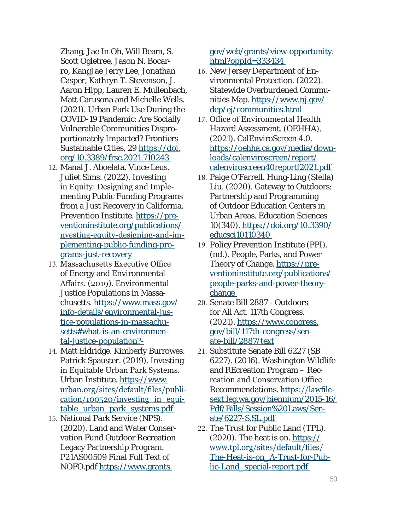Zhang, Jae In Oh, Will Beam, S. Scott Ogletree, Jason N. Bocarro, KangJae Jerry Lee, Jonathan Casper, Kathryn T. Stevenson, J. Aaron Hipp, Lauren E. Mullenbach, Matt Carusona and Michelle Wells. (2021). Urban Park Use During the COVID-19 Pandemic: Are Socially Vulnerable Communities Disproportionately Impacted? Frontiers Sustainable Cities, 29 https://doi. org/10.3389/frsc.2021.710243

- 12. Manal J. Aboelata. Vince Leus. Juliet Sims. (2022). Investing in Equity: Designing and Implementing Public Funding Programs from a Just Recovery in California. Prevention Institute. https://preventioninstitute.org/publications/ nvesting-equity-designing-and-implementing-public-funding-programs-just-recovery
- 13. Massachusetts Executive Office of Energy and Environmental Affairs. (2019). Environmental Justice Populations in Massachusetts. https://www.mass.gov/ info-details/environmental-justice-populations-in-massachusetts#what-is-an-environmental-justice-population?-
- 14. Matt Eldridge. Kimberly Burrowes. Patrick Spauster. (2019). Investing in Equitable Urban Park Systems. Urban Institute. https://www. urban.org/sites/default/files/publication/100520/investing\_in\_equitable\_urban\_park\_systems.pdf
- 15. National Park Service (NPS). (2020). Land and Water Conservation Fund Outdoor Recreation Legacy Partnership Program. P21AS00509 Final Full Text of NOFO.pdf https://www.grants.

gov/web/grants/view-opportunity. html?oppId=333434

- 16. New Jersey Department of Environmental Protection. (2022). Statewide Overburdened Communities Map. https://www.nj.gov/ dep/ej/communities.html
- 17. Office of Environmental Health Hazard Assessment. (OEHHA). (2021). CalEnviroScreen 4.0. https://oehha.ca.gov/media/downloads/calenviroscreen/report/ calenviroscreen40reportf2021.pdf
- 18. Paige O'Farrell. Hung-Ling (Stella) Liu. (2020). Gateway to Outdoors: Partnership and Programming of Outdoor Education Centers in Urban Areas. Education Sciences 10(340). https://doi.org/10.3390/ educsci10110340
- 19. Policy Prevention Institute (PPI). (nd.). People, Parks, and Power Theory of Change. https://preventioninstitute.org/publications/ people-parks-and-power-theorychange
- 20. Senate Bill 2887 Outdoors for All Act. 117th Congress. (2021). https://www.congress. gov/bill/117th-congress/senate-bill/2887/text
- 21. Substitute Senate Bill 6227 (SB 6227). (2016). Washington Wildlife and REcreation Program – Recreation and Conservation Office Recommendations. https://lawfilesext.leg.wa.gov/biennium/2015-16/ Pdf/Bills/Session%20Laws/Senate/6227-S.SL.pdf
- 22. The Trust for Public Land (TPL).  $(2020)$ . The heat is on. https:// www.tpl.org/sites/default/files/ The-Heat-is-on\_A-Trust-for-Public-Land\_special-report.pdf